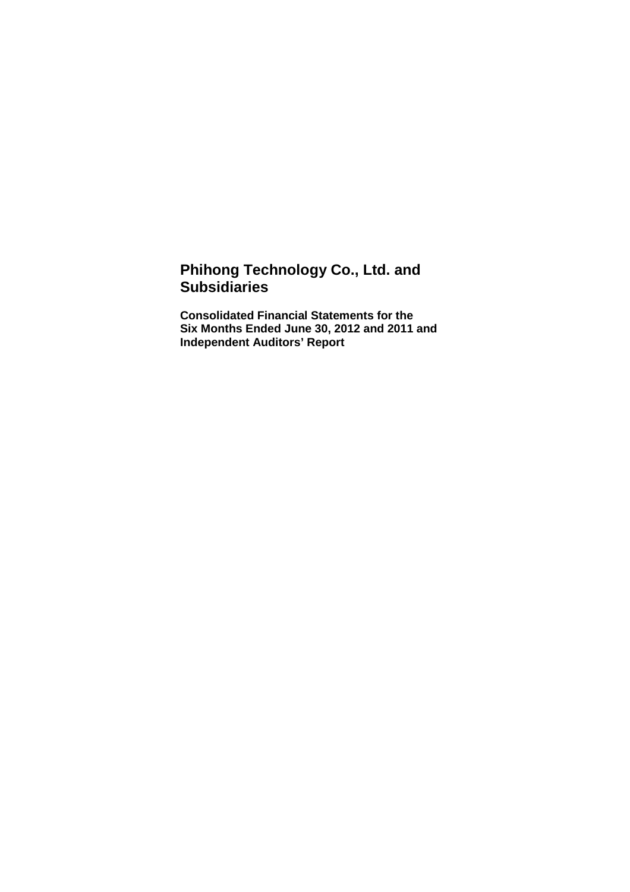# **Phihong Technology Co., Ltd. and Subsidiaries**

**Consolidated Financial Statements for the Six Months Ended June 30, 2012 and 2011 and Independent Auditors' Report**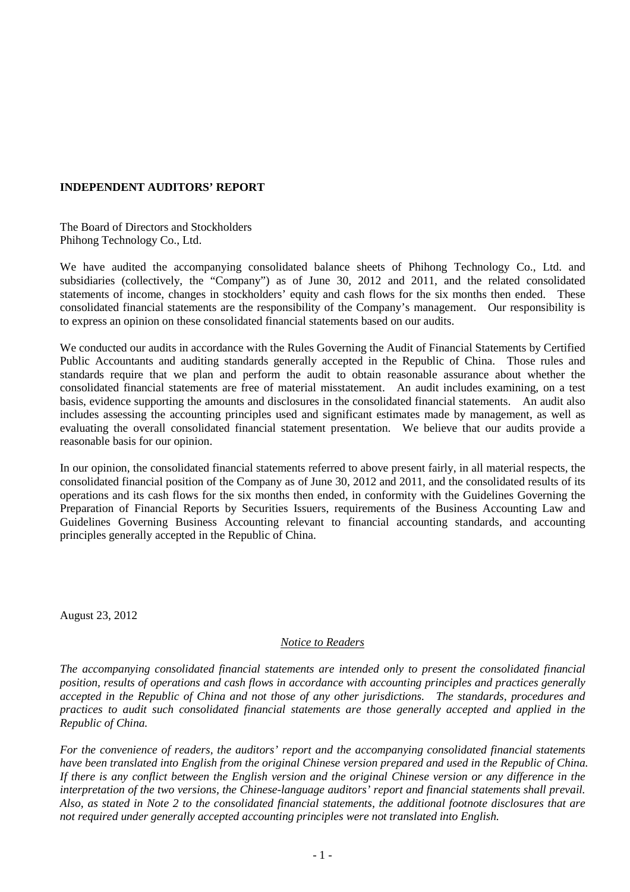# **INDEPENDENT AUDITORS' REPORT**

The Board of Directors and Stockholders Phihong Technology Co., Ltd.

We have audited the accompanying consolidated balance sheets of Phihong Technology Co., Ltd. and subsidiaries (collectively, the "Company") as of June 30, 2012 and 2011, and the related consolidated statements of income, changes in stockholders' equity and cash flows for the six months then ended. These consolidated financial statements are the responsibility of the Company's management. Our responsibility is to express an opinion on these consolidated financial statements based on our audits.

We conducted our audits in accordance with the Rules Governing the Audit of Financial Statements by Certified Public Accountants and auditing standards generally accepted in the Republic of China. Those rules and standards require that we plan and perform the audit to obtain reasonable assurance about whether the consolidated financial statements are free of material misstatement. An audit includes examining, on a test basis, evidence supporting the amounts and disclosures in the consolidated financial statements. An audit also includes assessing the accounting principles used and significant estimates made by management, as well as evaluating the overall consolidated financial statement presentation. We believe that our audits provide a reasonable basis for our opinion.

In our opinion, the consolidated financial statements referred to above present fairly, in all material respects, the consolidated financial position of the Company as of June 30, 2012 and 2011, and the consolidated results of its operations and its cash flows for the six months then ended, in conformity with the Guidelines Governing the Preparation of Financial Reports by Securities Issuers, requirements of the Business Accounting Law and Guidelines Governing Business Accounting relevant to financial accounting standards, and accounting principles generally accepted in the Republic of China.

August 23, 2012

### *Notice to Readers*

*The accompanying consolidated financial statements are intended only to present the consolidated financial position, results of operations and cash flows in accordance with accounting principles and practices generally accepted in the Republic of China and not those of any other jurisdictions. The standards, procedures and practices to audit such consolidated financial statements are those generally accepted and applied in the Republic of China.* 

*For the convenience of readers, the auditors' report and the accompanying consolidated financial statements have been translated into English from the original Chinese version prepared and used in the Republic of China. If there is any conflict between the English version and the original Chinese version or any difference in the interpretation of the two versions, the Chinese-language auditors' report and financial statements shall prevail. Also, as stated in Note 2 to the consolidated financial statements, the additional footnote disclosures that are not required under generally accepted accounting principles were not translated into English.*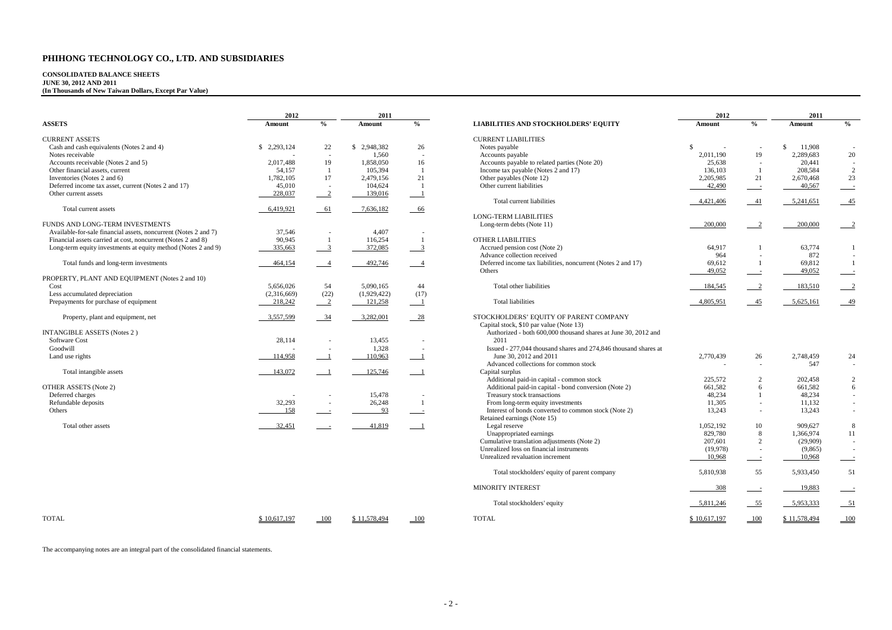# **CONSOLIDATED BALANCE SHEETS JUNE 30, 2012 AND 2011 (In Thousands of New Taiwan Dollars, Except Par Value)**

|                                                                 | 2012         |                           | 2011         |                            |                                                                 | 2012         |                            | 2011          |                           |
|-----------------------------------------------------------------|--------------|---------------------------|--------------|----------------------------|-----------------------------------------------------------------|--------------|----------------------------|---------------|---------------------------|
| <b>ASSETS</b>                                                   | Amount       | $\frac{0}{0}$             | Amount       | $\frac{0}{0}$              | <b>LIABILITIES AND STOCKHOLDERS' EQUITY</b>                     | Amount       | $\frac{0}{6}$              | Amount        | $\frac{0}{2}$             |
| <b>CURRENT ASSETS</b>                                           |              |                           |              |                            | <b>CURRENT LIABILITIES</b>                                      |              |                            |               |                           |
| Cash and cash equivalents (Notes 2 and 4)                       | \$2,293,124  | 22                        | \$2,948,382  | 26                         | Notes payable                                                   | \$           |                            | \$.<br>11,908 |                           |
| Notes receivable                                                |              |                           | 1,560        |                            | Accounts payable                                                | 2,011,190    | 19                         | 2,289,683     | 20                        |
| Accounts receivable (Notes 2 and 5)                             | 2,017,488    | 19                        | 1,858,050    | 16                         | Accounts payable to related parties (Note 20)                   | 25,638       |                            | 20,441        | $\sim$                    |
| Other financial assets, current                                 | 54,157       | $\overline{1}$            | 105,394      | $\overline{1}$             | Income tax payable (Notes 2 and 17)                             | 136,103      | $\overline{1}$             | 208,584       | $\overline{2}$            |
| Inventories (Notes 2 and 6)                                     | 1,782,105    | 17                        | 2,479,156    | 21                         | Other payables (Note 12)                                        | 2,205,985    | 21                         | 2,670,468     | 23                        |
| Deferred income tax asset, current (Notes 2 and 17)             | 45,010       |                           | 104,624      | $\overline{1}$             | Other current liabilities                                       | 42,490       | $\sim$                     | 40,567        | $\sim$ $\sim$             |
| Other current assets                                            | 228,037      | $\overline{\phantom{0}2}$ | 139,016      | $\overline{\phantom{0}}$ 1 |                                                                 |              |                            |               |                           |
|                                                                 |              |                           |              |                            | Total current liabilities                                       | 4,421,406    | 41                         | 5,241,651     | $-45$                     |
| Total current assets                                            | 6,419,921    | $-61$                     | 7,636,182    | $-66$                      |                                                                 |              |                            |               |                           |
|                                                                 |              |                           |              |                            | <b>LONG-TERM LIABILITIES</b>                                    |              |                            |               |                           |
| FUNDS AND LONG-TERM INVESTMENTS                                 |              |                           |              |                            | Long-term debts (Note 11)                                       | 200,000      | 2                          | 200,000       | $\overline{\phantom{0}2}$ |
| Available-for-sale financial assets, noncurrent (Notes 2 and 7) | 37,546       |                           | 4,407        |                            |                                                                 |              |                            |               |                           |
| Financial assets carried at cost, noncurrent (Notes 2 and 8)    | 90,945       | $\overline{1}$            | 116,254      | $\overline{1}$             | <b>OTHER LIABILITIES</b>                                        |              |                            |               |                           |
| Long-term equity investments at equity method (Notes 2 and 9)   | 335,663      | $\overline{\phantom{0}3}$ | 372,085      | $\overline{\phantom{0}3}$  | Accrued pension cost (Note 2)                                   | 64,917       |                            | 63,774        | -1                        |
|                                                                 |              |                           |              |                            | Advance collection received                                     | 964          | $\sim$                     | 872           | $\sim$                    |
| Total funds and long-term investments                           | 464,154      | $\overline{\phantom{0}}$  | 492,746      | $\overline{\phantom{0}}$ 4 | Deferred income tax liabilities, noncurrent (Notes 2 and 17)    | 69,612       | -1                         | 69,812        | $\overline{1}$            |
|                                                                 |              |                           |              |                            | Others                                                          | 49,052       | $\sim$                     | 49,052        | $\equiv$ $\equiv$         |
| PROPERTY, PLANT AND EQUIPMENT (Notes 2 and 10)                  |              |                           |              |                            |                                                                 |              |                            |               |                           |
| Cost                                                            | 5,656,026    | 54                        | 5.090.165    | 44                         | Total other liabilities                                         | 184,545      | $\overline{\phantom{0}}^2$ | 183,510       | $\overline{\phantom{0}2}$ |
| Less accumulated depreciation                                   | (2,316,669)  | (22)                      | (1,929,422)  | (17)                       |                                                                 |              |                            |               |                           |
| Prepayments for purchase of equipment                           | 218,242      | $\overline{\phantom{0}2}$ | 121,258      | $\overline{1}$             | <b>Total liabilities</b>                                        | 4,805,951    | 45                         | 5,625,161     | $-49$                     |
| Property, plant and equipment, net                              | 3,557,599    | 34                        | 3,282,001    | $-28$                      | STOCKHOLDERS' EQUITY OF PARENT COMPANY                          |              |                            |               |                           |
|                                                                 |              |                           |              |                            | Capital stock, \$10 par value (Note 13)                         |              |                            |               |                           |
| <b>INTANGIBLE ASSETS (Notes 2)</b>                              |              |                           |              |                            | Authorized - both 600,000 thousand shares at June 30, 2012 and  |              |                            |               |                           |
| Software Cost                                                   | 28,114       |                           | 13,455       |                            | 2011                                                            |              |                            |               |                           |
| Goodwill                                                        |              | ۰.                        | 1,328        |                            | Issued - 277,044 thousand shares and 274,846 thousand shares at |              |                            |               |                           |
| Land use rights                                                 | 114,958      | $\overline{\phantom{0}}$  | 110,963      | $\overline{\phantom{0}}$   | June 30, 2012 and 2011                                          | 2,770,439    | 26                         | 2,748,459     | 24                        |
|                                                                 |              |                           |              |                            | Advanced collections for common stock                           |              | $\sim$                     | 547           | $\sim$                    |
| Total intangible assets                                         | 143,072      | $\overline{1}$            | 125,746      | $\overline{\phantom{0}}$   | Capital surplus                                                 |              |                            |               |                           |
|                                                                 |              |                           |              |                            | Additional paid-in capital - common stock                       | 225,572      | 2                          | 202,458       | $\overline{c}$            |
| OTHER ASSETS (Note 2)                                           |              |                           |              |                            | Additional paid-in capital - bond conversion (Note 2)           | 661,582      | 6                          | 661,582       | 6                         |
| Deferred charges                                                |              |                           | 15,478       |                            | Treasury stock transactions                                     | 48,234       | -1                         | 48,234        | $\sim$                    |
| Refundable deposits                                             | 32,293       | $\sim$                    | 26,248       | $\overline{1}$             | From long-term equity investments                               | 11,305       | $\sim$                     | 11,132        | $\sim$                    |
| Others                                                          | 158          |                           | 93           | $\overline{\phantom{0}}$   | Interest of bonds converted to common stock (Note 2)            | 13,243       | $\sim$                     | 13,243        | $\sim$                    |
|                                                                 |              |                           |              |                            | Retained earnings (Note 15)                                     |              |                            |               |                           |
| Total other assets                                              | 32,451       |                           | 41,819       | $-1$                       | Legal reserve                                                   | 1,052,192    | 10                         | 909,627       | 8                         |
|                                                                 |              |                           |              |                            | Unappropriated earnings                                         | 829,780      | 8                          | 1,366,974     | 11                        |
|                                                                 |              |                           |              |                            | Cumulative translation adjustments (Note 2)                     | 207,601      | 2                          | (29,909)      | $\sim$                    |
|                                                                 |              |                           |              |                            | Unrealized loss on financial instruments                        | (19,978)     |                            | (9,865)       | $\sim$                    |
|                                                                 |              |                           |              |                            | Unrealized revaluation increment                                | 10,968       | $\sim$                     | 10,968        | $\sim$ $\sim$             |
|                                                                 |              |                           |              |                            | Total stockholders' equity of parent company                    | 5,810,938    | 55                         | 5,933,450     | 51                        |
|                                                                 |              |                           |              |                            | <b>MINORITY INTEREST</b>                                        | 308          |                            | 19,883        | $\equiv$                  |
|                                                                 |              |                           |              |                            | Total stockholders' equity                                      | 5,811,246    | $-55$                      | 5,953,333     | $-51$                     |
| <b>TOTAL</b>                                                    | \$10,617,197 | 100                       | \$11,578,494 | 100                        | <b>TOTAL</b>                                                    | \$10.617.197 | 100                        | \$11,578,494  | $\Box$ 100                |

The accompanying notes are an integral part of the consolidated financial statements.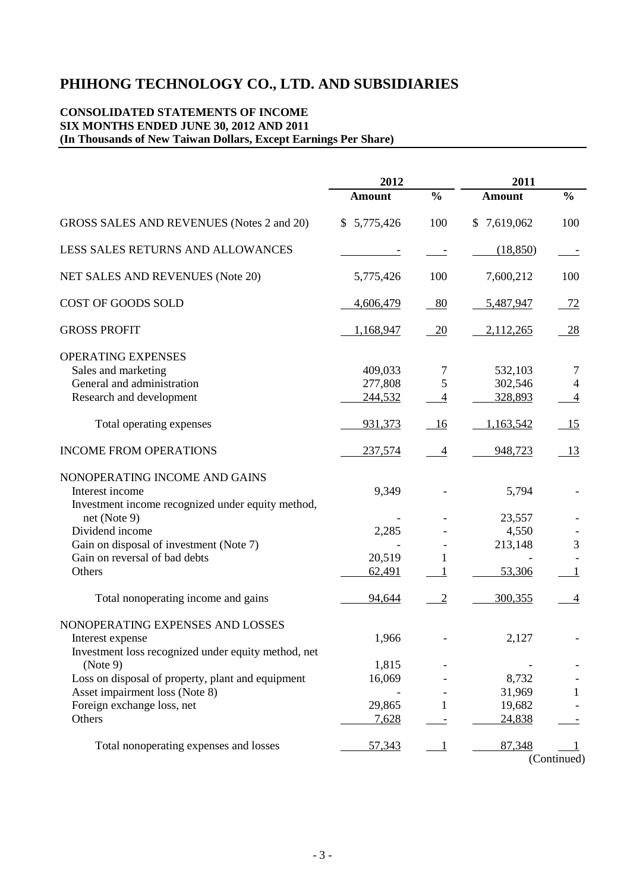# **CONSOLIDATED STATEMENTS OF INCOME SIX MONTHS ENDED JUNE 30, 2012 AND 2011 (In Thousands of New Taiwan Dollars, Except Earnings Per Share)**

|                                                     | 2012          |                          | 2011          |                |  |
|-----------------------------------------------------|---------------|--------------------------|---------------|----------------|--|
|                                                     | <b>Amount</b> | $\frac{0}{0}$            | <b>Amount</b> | $\frac{0}{0}$  |  |
| GROSS SALES AND REVENUES (Notes 2 and 20)           | \$5,775,426   | 100                      | \$7,619,062   | 100            |  |
| LESS SALES RETURNS AND ALLOWANCES                   |               |                          | (18, 850)     |                |  |
| NET SALES AND REVENUES (Note 20)                    | 5,775,426     | 100                      | 7,600,212     | 100            |  |
| COST OF GOODS SOLD                                  | 4,606,479     | 80                       | 5,487,947     | 72             |  |
| <b>GROSS PROFIT</b>                                 | 1,168,947     | 20                       | 2,112,265     | <u>28</u>      |  |
| OPERATING EXPENSES                                  |               |                          |               |                |  |
| Sales and marketing                                 | 409,033       |                          | 532,103       | 7              |  |
| General and administration                          | 277,808       | 5                        | 302,546       | 4              |  |
| Research and development                            | 244,532       | $\overline{\mathcal{A}}$ | 328,893       | $\overline{4}$ |  |
|                                                     |               |                          |               |                |  |
| Total operating expenses                            | 931,373       | 16                       | 1,163,542     | 15             |  |
| <b>INCOME FROM OPERATIONS</b>                       | 237,574       | $\overline{4}$           | 948,723       | <u>13</u>      |  |
| NONOPERATING INCOME AND GAINS                       |               |                          |               |                |  |
| Interest income                                     | 9,349         |                          | 5,794         |                |  |
| Investment income recognized under equity method,   |               |                          |               |                |  |
| net (Note 9)                                        |               |                          | 23,557        |                |  |
| Dividend income                                     | 2,285         |                          | 4,550         |                |  |
| Gain on disposal of investment (Note 7)             |               |                          | 213,148       | 3              |  |
| Gain on reversal of bad debts                       | 20,519        | 1                        |               |                |  |
| Others                                              | 62,491        |                          | 53,306        |                |  |
|                                                     |               |                          |               |                |  |
| Total nonoperating income and gains                 | 94,644        | $\overline{2}$           | 300,355       | $\overline{4}$ |  |
| NONOPERATING EXPENSES AND LOSSES                    |               |                          |               |                |  |
| Interest expense                                    | 1,966         |                          | 2,127         |                |  |
| Investment loss recognized under equity method, net |               |                          |               |                |  |
| (Note 9)                                            | 1,815         |                          |               |                |  |
| Loss on disposal of property, plant and equipment   | 16,069        |                          | 8,732         |                |  |
| Asset impairment loss (Note 8)                      |               |                          | 31,969        | 1              |  |
| Foreign exchange loss, net                          | 29,865        |                          | 19,682        |                |  |
| Others                                              | 7,628         |                          | 24,838        |                |  |
|                                                     |               |                          |               |                |  |
| Total nonoperating expenses and losses              | 57,343        |                          | 87,348        |                |  |
|                                                     |               |                          |               | (Continued)    |  |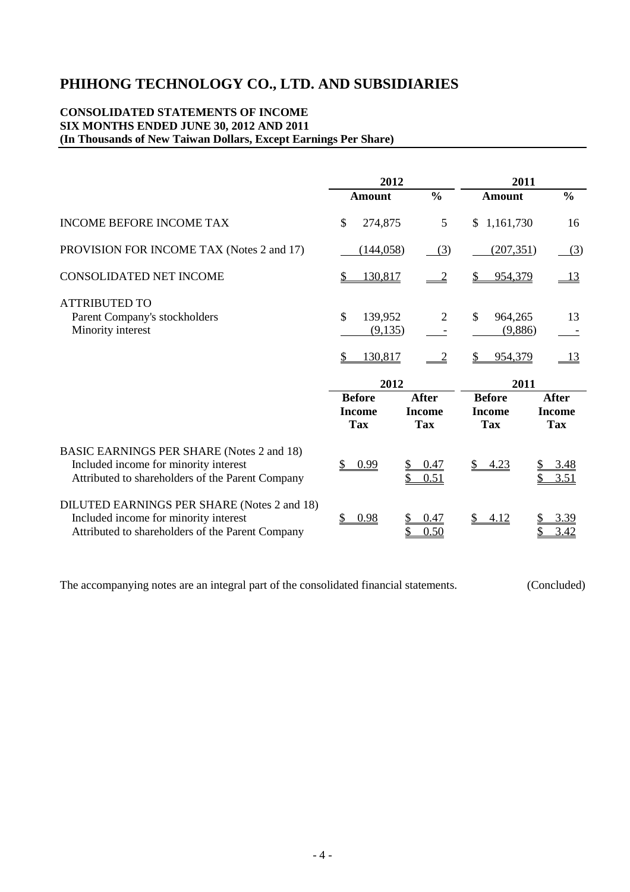# **CONSOLIDATED STATEMENTS OF INCOME SIX MONTHS ENDED JUNE 30, 2012 AND 2011 (In Thousands of New Taiwan Dollars, Except Earnings Per Share)**

|                                                                                                                                               | 2012                                         |                                             |                                              | 2011                                        |
|-----------------------------------------------------------------------------------------------------------------------------------------------|----------------------------------------------|---------------------------------------------|----------------------------------------------|---------------------------------------------|
|                                                                                                                                               | <b>Amount</b>                                | $\frac{0}{0}$                               | Amount                                       | $\frac{0}{0}$                               |
| <b>INCOME BEFORE INCOME TAX</b>                                                                                                               | \$<br>274,875                                | 5                                           | 1,161,730<br>\$                              | 16                                          |
| PROVISION FOR INCOME TAX (Notes 2 and 17)                                                                                                     | (144, 058)                                   | (3)                                         | (207, 351)                                   | (3)                                         |
| <b>CONSOLIDATED NET INCOME</b>                                                                                                                | 130,817<br>\$                                |                                             | 954,379                                      | <u>13</u>                                   |
| <b>ATTRIBUTED TO</b><br>Parent Company's stockholders<br>Minority interest                                                                    | \$<br>139,952<br>(9,135)<br>130,817<br>\$    | 2                                           | \$<br>964,265<br>(9,886)<br>954,379<br>S     | 13<br><u>13</u>                             |
|                                                                                                                                               | 2012                                         |                                             |                                              | 2011                                        |
|                                                                                                                                               | <b>Before</b><br><b>Income</b><br><b>Tax</b> | <b>After</b><br><b>Income</b><br><b>Tax</b> | <b>Before</b><br><b>Income</b><br><b>Tax</b> | <b>After</b><br><b>Income</b><br><b>Tax</b> |
| <b>BASIC EARNINGS PER SHARE (Notes 2 and 18)</b><br>Included income for minority interest<br>Attributed to shareholders of the Parent Company | 0.99<br>\$                                   | 0.47<br>0.51                                | $\mathbb{S}^-$<br>4.23                       | 3.48<br>3.51                                |
| DILUTED EARNINGS PER SHARE (Notes 2 and 18)<br>Included income for minority interest<br>Attributed to shareholders of the Parent Company      | 0.98                                         | 0.47<br>0.50                                | 4.12                                         | 3.39<br>3.42                                |

The accompanying notes are an integral part of the consolidated financial statements. (Concluded)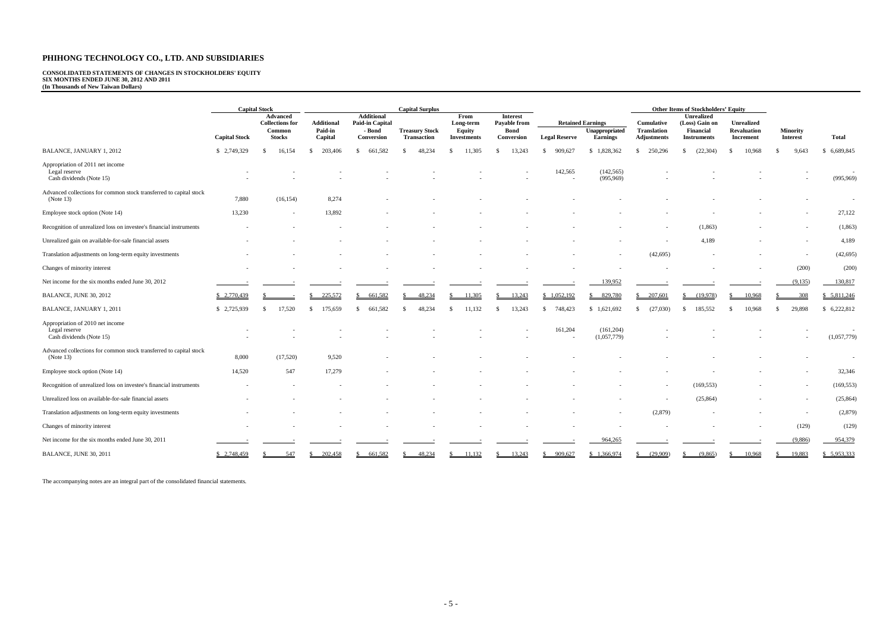# **CONSOLIDATED STATEMENTS OF CHANGES IN STOCKHOLDERS' EQUITY SIX MONTHS ENDED JUNE 30, 2012 AND 2011 (In Thousands of New Taiwan Dollars)**

|                                                                                 |                      | <b>Capital Stock</b>                                          |                                  |                                                              | <b>Capital Surplus</b>                      |                                                   |                                                              |                      |                                                        |                                                        | <b>Other Items of Stockholders' Equity</b>                             |                                                      |                             |                 |
|---------------------------------------------------------------------------------|----------------------|---------------------------------------------------------------|----------------------------------|--------------------------------------------------------------|---------------------------------------------|---------------------------------------------------|--------------------------------------------------------------|----------------------|--------------------------------------------------------|--------------------------------------------------------|------------------------------------------------------------------------|------------------------------------------------------|-----------------------------|-----------------|
|                                                                                 | <b>Capital Stock</b> | Advanced<br><b>Collections for</b><br>Common<br><b>Stocks</b> | Additional<br>Paid-in<br>Capital | <b>Additional</b><br>Paid-in Capital<br>- Bond<br>Conversion | <b>Treasury Stock</b><br><b>Transaction</b> | From<br>Long-term<br>Equity<br><b>Investments</b> | <b>Interest</b><br>Payable from<br><b>Bond</b><br>Conversion | <b>Legal Reserve</b> | <b>Retained Earnings</b><br>Unappropriated<br>Earnings | Cumulative<br><b>Translation</b><br><b>Adjustments</b> | <b>Unrealized</b><br>(Loss) Gain on<br>Financial<br><b>Instruments</b> | <b>Unrealized</b><br><b>Revaluation</b><br>Increment | Minority<br><b>Interest</b> | Total           |
| BALANCE, JANUARY 1, 2012                                                        | \$2,749,329          | 16,154<br>-S                                                  | 203,406<br>S.                    | 661.582<br>S.                                                | -S<br>48.234                                | 11.305<br>-S                                      | 13,243<br>-S                                                 | 909.627<br>-8        | 1,828,362<br>-S                                        | 250,296<br>-S                                          | (22, 304)<br>-S                                                        | 10,968<br>- \$                                       | 9.643                       | 6,689,845<br>-S |
| Appropriation of 2011 net income<br>Legal reserve<br>Cash dividends (Note 15)   |                      |                                                               |                                  |                                                              |                                             |                                                   |                                                              | 142,565              | (142, 565)<br>(995,969)                                |                                                        |                                                                        |                                                      |                             | (995,969)       |
| Advanced collections for common stock transferred to capital stock<br>(Note 13) | 7,880                | (16, 154)                                                     | 8,274                            |                                                              |                                             |                                                   |                                                              |                      |                                                        |                                                        |                                                                        |                                                      |                             |                 |
| Employee stock option (Note 14)                                                 | 13,230               | $\sim$                                                        | 13,892                           |                                                              |                                             |                                                   |                                                              |                      |                                                        |                                                        |                                                                        |                                                      |                             | 27,122          |
| Recognition of unrealized loss on investee's financial instruments              |                      |                                                               |                                  |                                                              |                                             |                                                   |                                                              |                      |                                                        |                                                        | (1, 863)                                                               |                                                      |                             | (1, 863)        |
| Unrealized gain on available-for-sale financial assets                          |                      |                                                               |                                  |                                                              |                                             |                                                   |                                                              |                      |                                                        |                                                        | 4,189                                                                  |                                                      |                             | 4,189           |
| Translation adjustments on long-term equity investments                         |                      |                                                               |                                  |                                                              |                                             |                                                   |                                                              |                      |                                                        | (42, 695)                                              |                                                                        |                                                      | $\sim$                      | (42, 695)       |
| Changes of minority interest                                                    |                      |                                                               |                                  |                                                              |                                             |                                                   |                                                              |                      |                                                        |                                                        |                                                                        |                                                      | (200)                       | (200)           |
| Net income for the six months ended June 30, 2012                               |                      |                                                               |                                  |                                                              |                                             |                                                   |                                                              |                      | 139,952                                                |                                                        |                                                                        |                                                      | (9,135)                     | 130,817         |
| BALANCE, JUNE 30, 2012                                                          | \$2,770,439          |                                                               | 225,572                          | 661.582                                                      | 48.234                                      | 11,305                                            | 13.243                                                       | \$1,052,192          | 829,780                                                | 207.601                                                | (19.978)                                                               | 10.968                                               | 308                         | 5,811,246       |
| BALANCE, JANUARY 1, 2011                                                        | \$2,725,939          | 17,520<br>-S                                                  | 175,659<br>S.                    | 661,582<br>S.                                                | 48.234<br>-S                                | 11,132<br>-S                                      | 13,243<br>-S                                                 | 748,423<br>-8        | 1,621,692<br>-S                                        | (27,030)<br>S.                                         | 185,552<br>-S                                                          | 10,968<br>-S                                         | 29,898<br>- \$              | 6,222,812<br>-S |
| Appropriation of 2010 net income<br>Legal reserve<br>Cash dividends (Note 15)   |                      |                                                               |                                  |                                                              |                                             |                                                   |                                                              | 161,204              | (161, 204)<br>(1,057,779)                              |                                                        |                                                                        |                                                      |                             | (1,057,779)     |
| Advanced collections for common stock transferred to capital stock<br>(Note 13) | 8,000                | (17,520)                                                      | 9,520                            |                                                              |                                             |                                                   |                                                              |                      |                                                        |                                                        |                                                                        |                                                      |                             |                 |
| Employee stock option (Note 14)                                                 | 14,520               | 547                                                           | 17,279                           |                                                              |                                             |                                                   |                                                              |                      |                                                        |                                                        |                                                                        |                                                      |                             | 32,346          |
| Recognition of unrealized loss on investee's financial instruments              |                      |                                                               |                                  |                                                              |                                             |                                                   |                                                              |                      |                                                        |                                                        | (169, 553)                                                             |                                                      |                             | (169, 553)      |
| Unrealized loss on available-for-sale financial assets                          |                      |                                                               |                                  |                                                              |                                             |                                                   |                                                              |                      |                                                        |                                                        | (25, 864)                                                              |                                                      |                             | (25, 864)       |
| Translation adjustments on long-term equity investments                         |                      |                                                               |                                  |                                                              |                                             |                                                   |                                                              |                      |                                                        | (2,879)                                                |                                                                        |                                                      |                             | (2,879)         |
| Changes of minority interest                                                    |                      |                                                               |                                  |                                                              |                                             |                                                   |                                                              |                      |                                                        |                                                        |                                                                        |                                                      | (129)                       | (129)           |
| Net income for the six months ended June 30, 2011                               |                      |                                                               |                                  |                                                              |                                             |                                                   |                                                              |                      | 964,265                                                |                                                        |                                                                        |                                                      | (9,886)                     | 954,379         |
| BALANCE, JUNE 30, 2011                                                          | \$2,748,459          | 547                                                           | 202,458                          | 661,582                                                      | 48,234                                      | 11,132                                            | 13,243                                                       | 909,627              | \$1,366,974                                            | (29,909)                                               | (9,865)                                                                | 10,968                                               | 19,883                      | \$5,953,333     |

The accompanying notes are an integral part of the consolidated financial statements.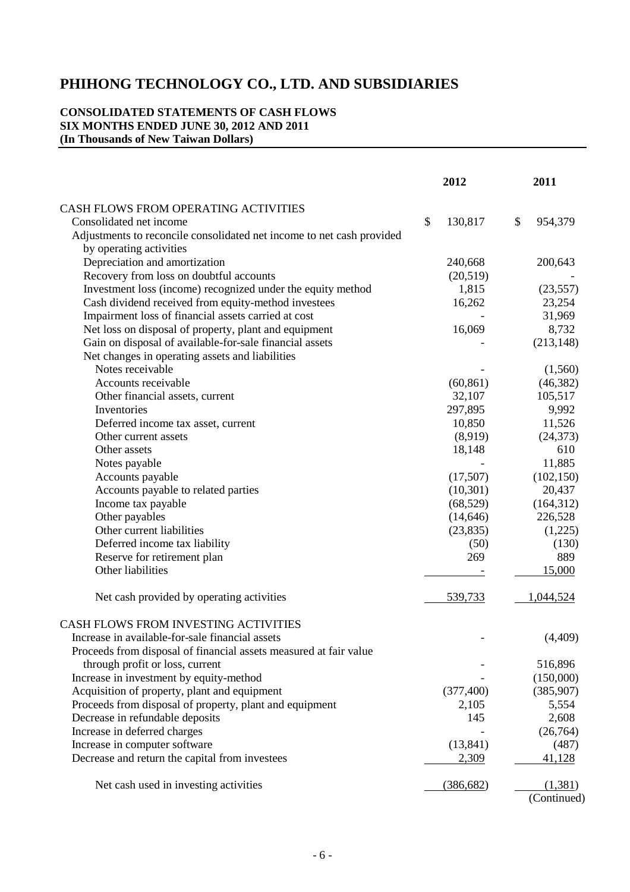# **CONSOLIDATED STATEMENTS OF CASH FLOWS SIX MONTHS ENDED JUNE 30, 2012 AND 2011 (In Thousands of New Taiwan Dollars)**

|                                                                       | 2012          | 2011          |
|-----------------------------------------------------------------------|---------------|---------------|
| CASH FLOWS FROM OPERATING ACTIVITIES                                  |               |               |
| Consolidated net income                                               | \$<br>130,817 | \$<br>954,379 |
| Adjustments to reconcile consolidated net income to net cash provided |               |               |
| by operating activities                                               |               |               |
| Depreciation and amortization                                         | 240,668       | 200,643       |
| Recovery from loss on doubtful accounts                               | (20,519)      |               |
| Investment loss (income) recognized under the equity method           | 1,815         | (23, 557)     |
| Cash dividend received from equity-method investees                   | 16,262        | 23,254        |
| Impairment loss of financial assets carried at cost                   |               | 31,969        |
| Net loss on disposal of property, plant and equipment                 | 16,069        | 8,732         |
| Gain on disposal of available-for-sale financial assets               |               | (213, 148)    |
| Net changes in operating assets and liabilities                       |               |               |
| Notes receivable                                                      |               | (1,560)       |
| Accounts receivable                                                   | (60, 861)     | (46, 382)     |
| Other financial assets, current                                       | 32,107        | 105,517       |
| Inventories                                                           | 297,895       | 9,992         |
| Deferred income tax asset, current                                    | 10,850        | 11,526        |
| Other current assets                                                  | (8,919)       | (24, 373)     |
| Other assets                                                          | 18,148        | 610           |
| Notes payable                                                         |               | 11,885        |
| Accounts payable                                                      | (17,507)      | (102, 150)    |
| Accounts payable to related parties                                   | (10, 301)     | 20,437        |
| Income tax payable                                                    | (68, 529)     | (164,312)     |
| Other payables                                                        | (14, 646)     | 226,528       |
| Other current liabilities                                             | (23, 835)     | (1,225)       |
| Deferred income tax liability                                         | (50)          | (130)         |
| Reserve for retirement plan                                           | 269           | 889           |
| Other liabilities                                                     |               | 15,000        |
| Net cash provided by operating activities                             | 539,733       | 1,044,524     |
| CASH FLOWS FROM INVESTING ACTIVITIES                                  |               |               |
| Increase in available-for-sale financial assets                       |               | (4,409)       |
| Proceeds from disposal of financial assets measured at fair value     |               |               |
| through profit or loss, current                                       |               | 516,896       |
| Increase in investment by equity-method                               |               | (150,000)     |
| Acquisition of property, plant and equipment                          | (377, 400)    | (385,907)     |
| Proceeds from disposal of property, plant and equipment               | 2,105         | 5,554         |
| Decrease in refundable deposits                                       | 145           | 2,608         |
| Increase in deferred charges                                          |               | (26,764)      |
| Increase in computer software                                         | (13, 841)     | (487)         |
| Decrease and return the capital from investees                        | 2,309         | 41,128        |
| Net cash used in investing activities                                 | (386, 682)    | (1,381)       |
|                                                                       |               | (Continued)   |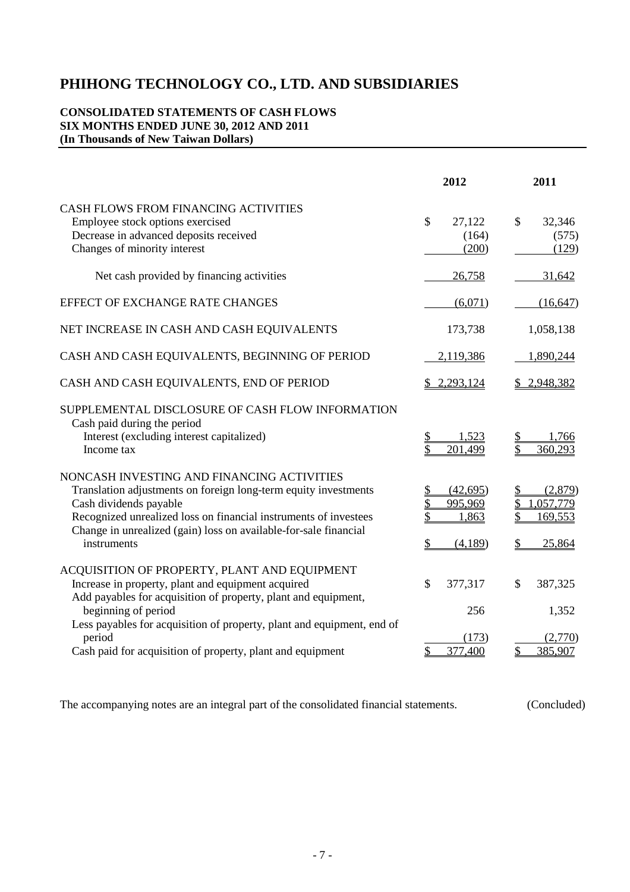# **CONSOLIDATED STATEMENTS OF CASH FLOWS SIX MONTHS ENDED JUNE 30, 2012 AND 2011 (In Thousands of New Taiwan Dollars)**

|                                                                                                                                                                                                                                                                                                                                               | 2012                                      | 2011                                                          |
|-----------------------------------------------------------------------------------------------------------------------------------------------------------------------------------------------------------------------------------------------------------------------------------------------------------------------------------------------|-------------------------------------------|---------------------------------------------------------------|
| CASH FLOWS FROM FINANCING ACTIVITIES<br>Employee stock options exercised<br>Decrease in advanced deposits received<br>Changes of minority interest                                                                                                                                                                                            | $\mathcal{S}$<br>27,122<br>(164)<br>(200) | \$<br>32,346<br>(575)<br>(129)                                |
| Net cash provided by financing activities                                                                                                                                                                                                                                                                                                     | 26,758                                    | 31,642                                                        |
| EFFECT OF EXCHANGE RATE CHANGES                                                                                                                                                                                                                                                                                                               | (6,071)                                   | (16, 647)                                                     |
| NET INCREASE IN CASH AND CASH EQUIVALENTS                                                                                                                                                                                                                                                                                                     | 173,738                                   | 1,058,138                                                     |
| CASH AND CASH EQUIVALENTS, BEGINNING OF PERIOD                                                                                                                                                                                                                                                                                                | 2,119,386                                 | 1,890,244                                                     |
| CASH AND CASH EQUIVALENTS, END OF PERIOD                                                                                                                                                                                                                                                                                                      | 2,293,124<br>S.                           | 2,948,382                                                     |
| SUPPLEMENTAL DISCLOSURE OF CASH FLOW INFORMATION<br>Cash paid during the period<br>Interest (excluding interest capitalized)<br>Income tax                                                                                                                                                                                                    | 1.523<br>201,499                          | 1,766<br>\$<br>360,293                                        |
| NONCASH INVESTING AND FINANCING ACTIVITIES<br>Translation adjustments on foreign long-term equity investments<br>Cash dividends payable<br>Recognized unrealized loss on financial instruments of investees<br>Change in unrealized (gain) loss on available-for-sale financial<br>instruments                                                | (42,695)<br>995,969<br>1,863<br>(4,189)   | (2,879)<br>1,057,779<br>169,553<br>25,864                     |
| ACQUISITION OF PROPERTY, PLANT AND EQUIPMENT<br>Increase in property, plant and equipment acquired<br>Add payables for acquisition of property, plant and equipment,<br>beginning of period<br>Less payables for acquisition of property, plant and equipment, end of<br>period<br>Cash paid for acquisition of property, plant and equipment | \$<br>377,317<br>256<br>(173)<br>377,400  | $\mathcal{S}$<br>387,325<br>1,352<br>(2,770)<br>385,907<br>\$ |

The accompanying notes are an integral part of the consolidated financial statements. (Concluded)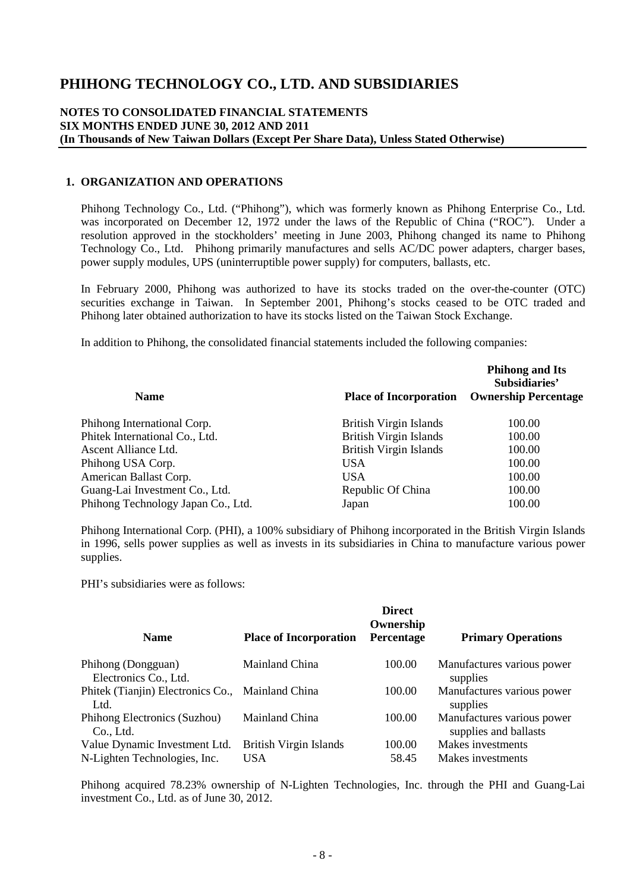# **NOTES TO CONSOLIDATED FINANCIAL STATEMENTS SIX MONTHS ENDED JUNE 30, 2012 AND 2011 (In Thousands of New Taiwan Dollars (Except Per Share Data), Unless Stated Otherwise)**

#### **1. ORGANIZATION AND OPERATIONS**

Phihong Technology Co., Ltd. ("Phihong"), which was formerly known as Phihong Enterprise Co., Ltd. was incorporated on December 12, 1972 under the laws of the Republic of China ("ROC"). Under a resolution approved in the stockholders' meeting in June 2003, Phihong changed its name to Phihong Technology Co., Ltd. Phihong primarily manufactures and sells AC/DC power adapters, charger bases, power supply modules, UPS (uninterruptible power supply) for computers, ballasts, etc.

In February 2000, Phihong was authorized to have its stocks traded on the over-the-counter (OTC) securities exchange in Taiwan. In September 2001, Phihong's stocks ceased to be OTC traded and Phihong later obtained authorization to have its stocks listed on the Taiwan Stock Exchange.

In addition to Phihong, the consolidated financial statements included the following companies:

| <b>Name</b>                        | <b>Place of Incorporation</b> | <b>Phihong and Its</b><br>Subsidiaries'<br><b>Ownership Percentage</b> |
|------------------------------------|-------------------------------|------------------------------------------------------------------------|
|                                    |                               |                                                                        |
| Phihong International Corp.        | <b>British Virgin Islands</b> | 100.00                                                                 |
| Phitek International Co., Ltd.     | <b>British Virgin Islands</b> | 100.00                                                                 |
| Ascent Alliance Ltd.               | <b>British Virgin Islands</b> | 100.00                                                                 |
| Phihong USA Corp.                  | <b>USA</b>                    | 100.00                                                                 |
| American Ballast Corp.             | <b>USA</b>                    | 100.00                                                                 |
| Guang-Lai Investment Co., Ltd.     | Republic Of China             | 100.00                                                                 |
| Phihong Technology Japan Co., Ltd. | Japan                         | 100.00                                                                 |

Phihong International Corp. (PHI), a 100% subsidiary of Phihong incorporated in the British Virgin Islands in 1996, sells power supplies as well as invests in its subsidiaries in China to manufacture various power supplies.

PHI's subsidiaries were as follows:

| <b>Name</b>                                                               | <b>Place of Incorporation</b> | <b>Direct</b><br>Ownership<br>Percentage | <b>Primary Operations</b>                           |
|---------------------------------------------------------------------------|-------------------------------|------------------------------------------|-----------------------------------------------------|
| Phihong (Dongguan)                                                        | Mainland China                | 100.00                                   | Manufactures various power                          |
| Electronics Co., Ltd.<br>Phitek (Tianjin) Electronics Co., Mainland China |                               | 100.00                                   | supplies<br>Manufactures various power              |
| Ltd.                                                                      |                               |                                          | supplies                                            |
| Phihong Electronics (Suzhou)<br>Co., Ltd.                                 | Mainland China                | 100.00                                   | Manufactures various power<br>supplies and ballasts |
| Value Dynamic Investment Ltd.                                             | <b>British Virgin Islands</b> | 100.00                                   | Makes investments                                   |
| N-Lighten Technologies, Inc.                                              | <b>USA</b>                    | 58.45                                    | Makes investments                                   |

Phihong acquired 78.23% ownership of N-Lighten Technologies, Inc. through the PHI and Guang-Lai investment Co., Ltd. as of June 30, 2012.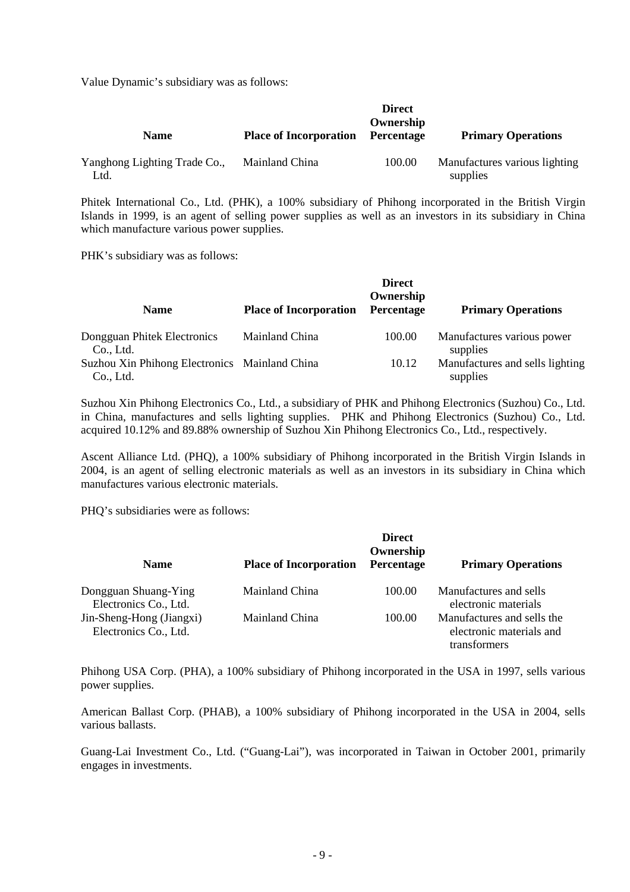Value Dynamic's subsidiary was as follows:

| <b>Name</b>                          | <b>Place of Incorporation</b> | <b>Direct</b><br>Ownership<br><b>Percentage</b> | <b>Primary Operations</b>                 |
|--------------------------------------|-------------------------------|-------------------------------------------------|-------------------------------------------|
| Yanghong Lighting Trade Co.,<br>Ltd. | Mainland China                | 100.00                                          | Manufactures various lighting<br>supplies |

Phitek International Co., Ltd. (PHK), a 100% subsidiary of Phihong incorporated in the British Virgin Islands in 1999, is an agent of selling power supplies as well as an investors in its subsidiary in China which manufacture various power supplies.

PHK's subsidiary was as follows:

|                                                            |                               | <b>Direct</b><br>Ownership |                                             |
|------------------------------------------------------------|-------------------------------|----------------------------|---------------------------------------------|
| <b>Name</b>                                                | <b>Place of Incorporation</b> | Percentage                 | <b>Primary Operations</b>                   |
| Dongguan Phitek Electronics<br>Co., Ltd.                   | Mainland China                | 100.00                     | Manufactures various power<br>supplies      |
| Suzhou Xin Phihong Electronics Mainland China<br>Co., Ltd. |                               | 10.12                      | Manufactures and sells lighting<br>supplies |

Suzhou Xin Phihong Electronics Co., Ltd., a subsidiary of PHK and Phihong Electronics (Suzhou) Co., Ltd. in China, manufactures and sells lighting supplies. PHK and Phihong Electronics (Suzhou) Co., Ltd. acquired 10.12% and 89.88% ownership of Suzhou Xin Phihong Electronics Co., Ltd., respectively.

Ascent Alliance Ltd. (PHQ), a 100% subsidiary of Phihong incorporated in the British Virgin Islands in 2004, is an agent of selling electronic materials as well as an investors in its subsidiary in China which manufactures various electronic materials.

PHQ's subsidiaries were as follows:

| <b>Name</b>                                       | <b>Place of Incorporation</b> | <b>Direct</b><br>Ownership<br>Percentage | <b>Primary Operations</b>                                              |
|---------------------------------------------------|-------------------------------|------------------------------------------|------------------------------------------------------------------------|
| Dongguan Shuang-Ying<br>Electronics Co., Ltd.     | Mainland China                | 100.00                                   | Manufactures and sells<br>electronic materials                         |
| Jin-Sheng-Hong (Jiangxi)<br>Electronics Co., Ltd. | Mainland China                | 100.00                                   | Manufactures and sells the<br>electronic materials and<br>transformers |

Phihong USA Corp. (PHA), a 100% subsidiary of Phihong incorporated in the USA in 1997, sells various power supplies.

American Ballast Corp. (PHAB), a 100% subsidiary of Phihong incorporated in the USA in 2004, sells various ballasts.

Guang-Lai Investment Co., Ltd. ("Guang-Lai"), was incorporated in Taiwan in October 2001, primarily engages in investments.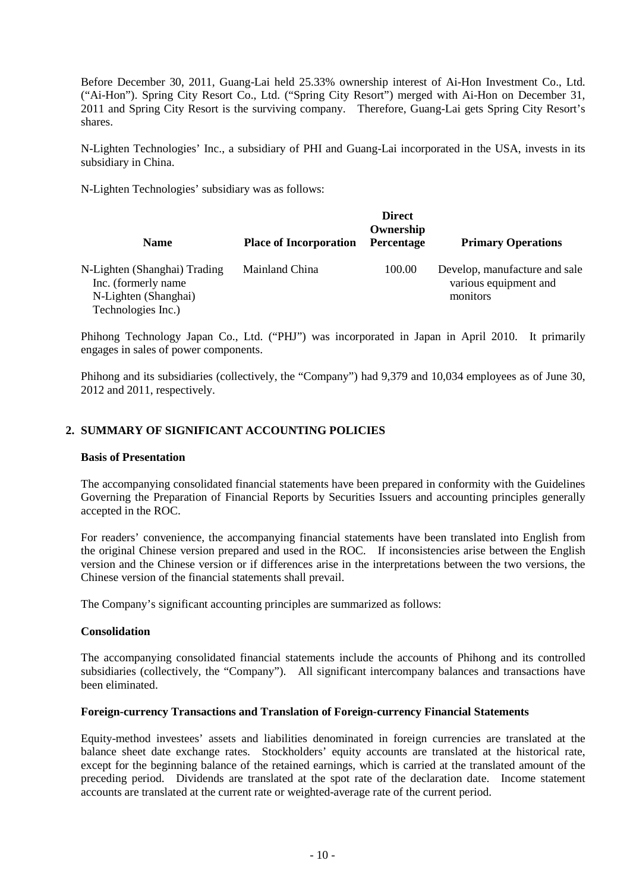Before December 30, 2011, Guang-Lai held 25.33% ownership interest of Ai-Hon Investment Co., Ltd. ("Ai-Hon"). Spring City Resort Co., Ltd. ("Spring City Resort") merged with Ai-Hon on December 31, 2011 and Spring City Resort is the surviving company. Therefore, Guang-Lai gets Spring City Resort's shares.

N-Lighten Technologies' Inc., a subsidiary of PHI and Guang-Lai incorporated in the USA, invests in its subsidiary in China.

N-Lighten Technologies' subsidiary was as follows:

| <b>Name</b>                                          | <b>Place of Incorporation</b> | <b>Direct</b><br>Ownership<br>Percentage | <b>Primary Operations</b>                              |
|------------------------------------------------------|-------------------------------|------------------------------------------|--------------------------------------------------------|
| N-Lighten (Shanghai) Trading<br>Inc. (formerly name) | Mainland China                | 100.00                                   | Develop, manufacture and sale<br>various equipment and |
| N-Lighten (Shanghai)<br>Technologies Inc.)           |                               |                                          | monitors                                               |

Phihong Technology Japan Co., Ltd. ("PHJ") was incorporated in Japan in April 2010. It primarily engages in sales of power components.

Phihong and its subsidiaries (collectively, the "Company") had 9,379 and 10,034 employees as of June 30, 2012 and 2011, respectively.

# **2. SUMMARY OF SIGNIFICANT ACCOUNTING POLICIES**

#### **Basis of Presentation**

The accompanying consolidated financial statements have been prepared in conformity with the Guidelines Governing the Preparation of Financial Reports by Securities Issuers and accounting principles generally accepted in the ROC.

For readers' convenience, the accompanying financial statements have been translated into English from the original Chinese version prepared and used in the ROC. If inconsistencies arise between the English version and the Chinese version or if differences arise in the interpretations between the two versions, the Chinese version of the financial statements shall prevail.

The Company's significant accounting principles are summarized as follows:

#### **Consolidation**

The accompanying consolidated financial statements include the accounts of Phihong and its controlled subsidiaries (collectively, the "Company"). All significant intercompany balances and transactions have been eliminated.

#### **Foreign-currency Transactions and Translation of Foreign-currency Financial Statements**

Equity-method investees' assets and liabilities denominated in foreign currencies are translated at the balance sheet date exchange rates. Stockholders' equity accounts are translated at the historical rate, except for the beginning balance of the retained earnings, which is carried at the translated amount of the preceding period. Dividends are translated at the spot rate of the declaration date. Income statement accounts are translated at the current rate or weighted-average rate of the current period.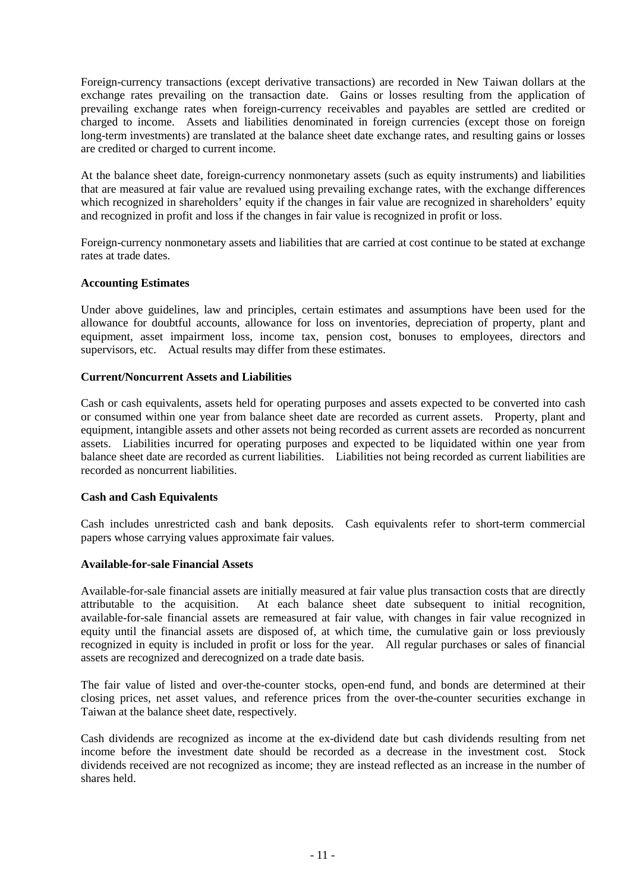Foreign-currency transactions (except derivative transactions) are recorded in New Taiwan dollars at the exchange rates prevailing on the transaction date. Gains or losses resulting from the application of prevailing exchange rates when foreign-currency receivables and payables are settled are credited or charged to income. Assets and liabilities denominated in foreign currencies (except those on foreign long-term investments) are translated at the balance sheet date exchange rates, and resulting gains or losses are credited or charged to current income.

At the balance sheet date, foreign-currency nonmonetary assets (such as equity instruments) and liabilities that are measured at fair value are revalued using prevailing exchange rates, with the exchange differences which recognized in shareholders' equity if the changes in fair value are recognized in shareholders' equity and recognized in profit and loss if the changes in fair value is recognized in profit or loss.

Foreign-currency nonmonetary assets and liabilities that are carried at cost continue to be stated at exchange rates at trade dates.

#### **Accounting Estimates**

Under above guidelines, law and principles, certain estimates and assumptions have been used for the allowance for doubtful accounts, allowance for loss on inventories, depreciation of property, plant and equipment, asset impairment loss, income tax, pension cost, bonuses to employees, directors and supervisors, etc. Actual results may differ from these estimates.

#### **Current/Noncurrent Assets and Liabilities**

Cash or cash equivalents, assets held for operating purposes and assets expected to be converted into cash or consumed within one year from balance sheet date are recorded as current assets. Property, plant and equipment, intangible assets and other assets not being recorded as current assets are recorded as noncurrent assets. Liabilities incurred for operating purposes and expected to be liquidated within one year from balance sheet date are recorded as current liabilities. Liabilities not being recorded as current liabilities are recorded as noncurrent liabilities.

#### **Cash and Cash Equivalents**

Cash includes unrestricted cash and bank deposits. Cash equivalents refer to short-term commercial papers whose carrying values approximate fair values.

#### **Available-for-sale Financial Assets**

Available-for-sale financial assets are initially measured at fair value plus transaction costs that are directly attributable to the acquisition. At each balance sheet date subsequent to initial recognition, available-for-sale financial assets are remeasured at fair value, with changes in fair value recognized in equity until the financial assets are disposed of, at which time, the cumulative gain or loss previously recognized in equity is included in profit or loss for the year. All regular purchases or sales of financial assets are recognized and derecognized on a trade date basis.

The fair value of listed and over-the-counter stocks, open-end fund, and bonds are determined at their closing prices, net asset values, and reference prices from the over-the-counter securities exchange in Taiwan at the balance sheet date, respectively.

Cash dividends are recognized as income at the ex-dividend date but cash dividends resulting from net income before the investment date should be recorded as a decrease in the investment cost. Stock dividends received are not recognized as income; they are instead reflected as an increase in the number of shares held.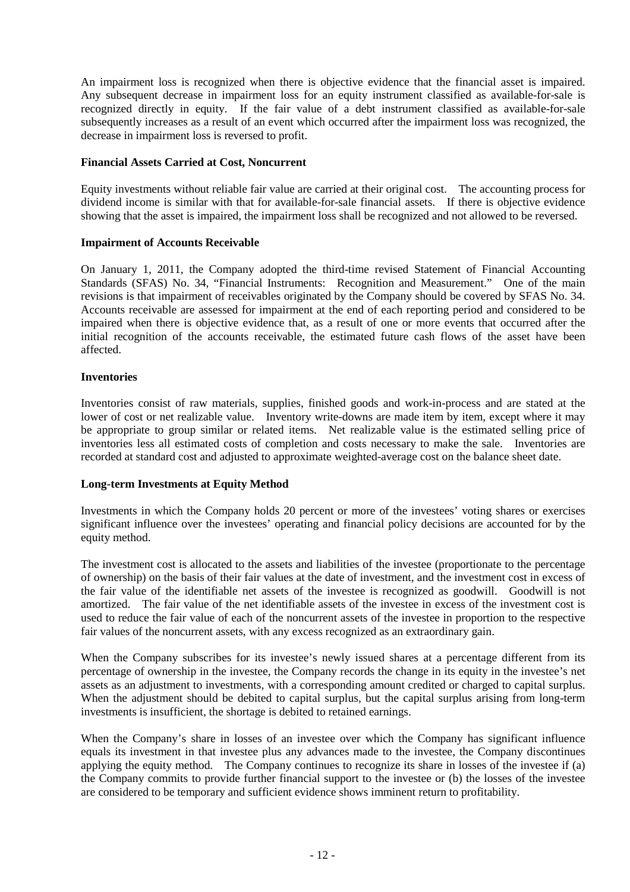An impairment loss is recognized when there is objective evidence that the financial asset is impaired. Any subsequent decrease in impairment loss for an equity instrument classified as available-for-sale is recognized directly in equity. If the fair value of a debt instrument classified as available-for-sale subsequently increases as a result of an event which occurred after the impairment loss was recognized, the decrease in impairment loss is reversed to profit.

# **Financial Assets Carried at Cost, Noncurrent**

Equity investments without reliable fair value are carried at their original cost. The accounting process for dividend income is similar with that for available-for-sale financial assets. If there is objective evidence showing that the asset is impaired, the impairment loss shall be recognized and not allowed to be reversed.

# **Impairment of Accounts Receivable**

On January 1, 2011, the Company adopted the third-time revised Statement of Financial Accounting Standards (SFAS) No. 34, "Financial Instruments: Recognition and Measurement." One of the main revisions is that impairment of receivables originated by the Company should be covered by SFAS No. 34. Accounts receivable are assessed for impairment at the end of each reporting period and considered to be impaired when there is objective evidence that, as a result of one or more events that occurred after the initial recognition of the accounts receivable, the estimated future cash flows of the asset have been affected.

#### **Inventories**

Inventories consist of raw materials, supplies, finished goods and work-in-process and are stated at the lower of cost or net realizable value. Inventory write-downs are made item by item, except where it may be appropriate to group similar or related items. Net realizable value is the estimated selling price of inventories less all estimated costs of completion and costs necessary to make the sale. Inventories are recorded at standard cost and adjusted to approximate weighted-average cost on the balance sheet date.

# **Long-term Investments at Equity Method**

Investments in which the Company holds 20 percent or more of the investees' voting shares or exercises significant influence over the investees' operating and financial policy decisions are accounted for by the equity method.

The investment cost is allocated to the assets and liabilities of the investee (proportionate to the percentage of ownership) on the basis of their fair values at the date of investment, and the investment cost in excess of the fair value of the identifiable net assets of the investee is recognized as goodwill. Goodwill is not amortized. The fair value of the net identifiable assets of the investee in excess of the investment cost is used to reduce the fair value of each of the noncurrent assets of the investee in proportion to the respective fair values of the noncurrent assets, with any excess recognized as an extraordinary gain.

When the Company subscribes for its investee's newly issued shares at a percentage different from its percentage of ownership in the investee, the Company records the change in its equity in the investee's net assets as an adjustment to investments, with a corresponding amount credited or charged to capital surplus. When the adjustment should be debited to capital surplus, but the capital surplus arising from long-term investments is insufficient, the shortage is debited to retained earnings.

When the Company's share in losses of an investee over which the Company has significant influence equals its investment in that investee plus any advances made to the investee, the Company discontinues applying the equity method. The Company continues to recognize its share in losses of the investee if (a) the Company commits to provide further financial support to the investee or (b) the losses of the investee are considered to be temporary and sufficient evidence shows imminent return to profitability.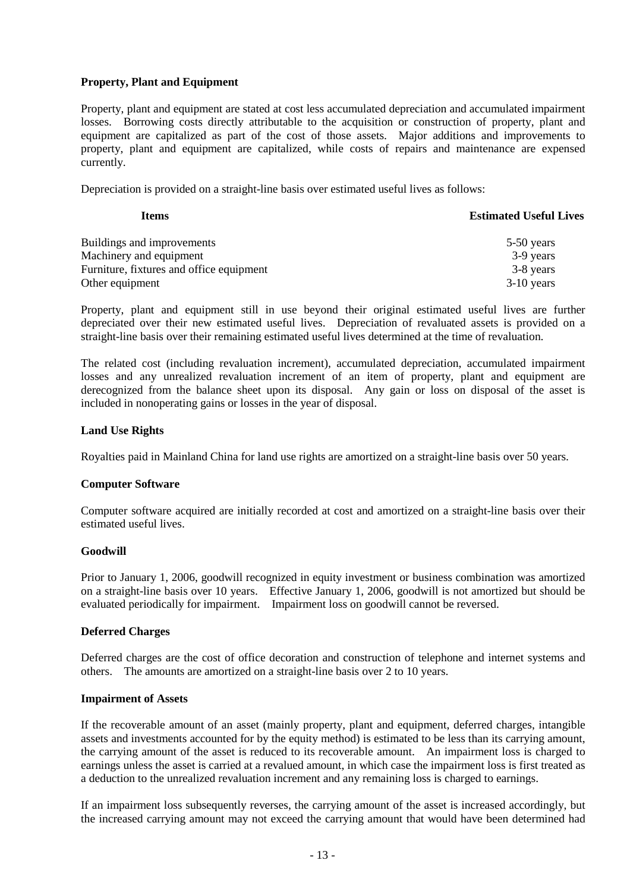### **Property, Plant and Equipment**

Property, plant and equipment are stated at cost less accumulated depreciation and accumulated impairment losses. Borrowing costs directly attributable to the acquisition or construction of property, plant and equipment are capitalized as part of the cost of those assets. Major additions and improvements to property, plant and equipment are capitalized, while costs of repairs and maintenance are expensed currently.

Depreciation is provided on a straight-line basis over estimated useful lives as follows:

| Items                                    | <b>Estimated Useful Lives</b> |
|------------------------------------------|-------------------------------|
| Buildings and improvements               | 5-50 years                    |
| Machinery and equipment                  | 3-9 years                     |
| Furniture, fixtures and office equipment | 3-8 years                     |
| Other equipment                          | $3-10$ years                  |

Property, plant and equipment still in use beyond their original estimated useful lives are further depreciated over their new estimated useful lives. Depreciation of revaluated assets is provided on a straight-line basis over their remaining estimated useful lives determined at the time of revaluation.

The related cost (including revaluation increment), accumulated depreciation, accumulated impairment losses and any unrealized revaluation increment of an item of property, plant and equipment are derecognized from the balance sheet upon its disposal. Any gain or loss on disposal of the asset is included in nonoperating gains or losses in the year of disposal.

#### **Land Use Rights**

Royalties paid in Mainland China for land use rights are amortized on a straight-line basis over 50 years.

#### **Computer Software**

Computer software acquired are initially recorded at cost and amortized on a straight-line basis over their estimated useful lives.

#### **Goodwill**

Prior to January 1, 2006, goodwill recognized in equity investment or business combination was amortized on a straight-line basis over 10 years. Effective January 1, 2006, goodwill is not amortized but should be evaluated periodically for impairment. Impairment loss on goodwill cannot be reversed.

#### **Deferred Charges**

Deferred charges are the cost of office decoration and construction of telephone and internet systems and others. The amounts are amortized on a straight-line basis over 2 to 10 years.

#### **Impairment of Assets**

If the recoverable amount of an asset (mainly property, plant and equipment, deferred charges, intangible assets and investments accounted for by the equity method) is estimated to be less than its carrying amount, the carrying amount of the asset is reduced to its recoverable amount. An impairment loss is charged to earnings unless the asset is carried at a revalued amount, in which case the impairment loss is first treated as a deduction to the unrealized revaluation increment and any remaining loss is charged to earnings.

If an impairment loss subsequently reverses, the carrying amount of the asset is increased accordingly, but the increased carrying amount may not exceed the carrying amount that would have been determined had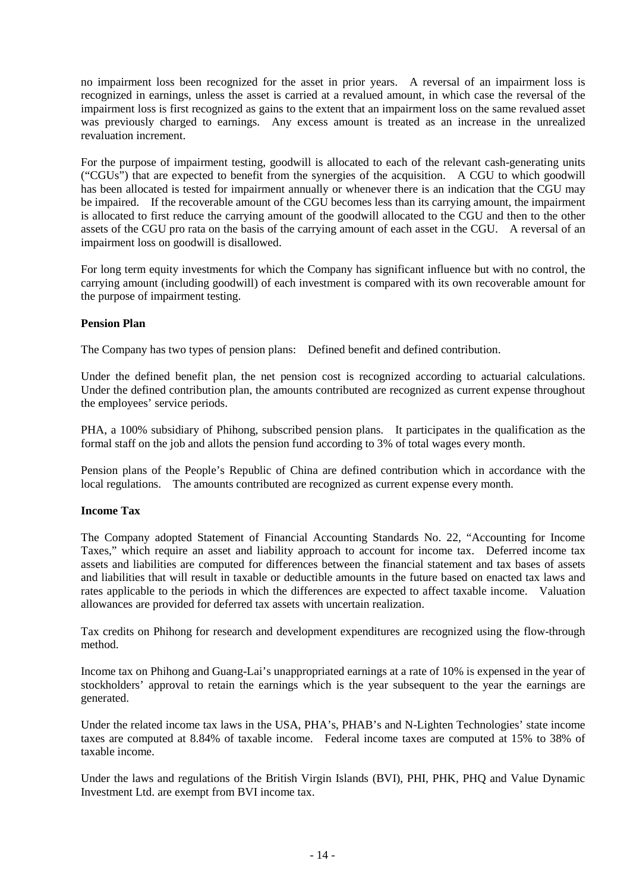no impairment loss been recognized for the asset in prior years. A reversal of an impairment loss is recognized in earnings, unless the asset is carried at a revalued amount, in which case the reversal of the impairment loss is first recognized as gains to the extent that an impairment loss on the same revalued asset was previously charged to earnings. Any excess amount is treated as an increase in the unrealized revaluation increment.

For the purpose of impairment testing, goodwill is allocated to each of the relevant cash-generating units ("CGUs") that are expected to benefit from the synergies of the acquisition. A CGU to which goodwill has been allocated is tested for impairment annually or whenever there is an indication that the CGU may be impaired. If the recoverable amount of the CGU becomes less than its carrying amount, the impairment is allocated to first reduce the carrying amount of the goodwill allocated to the CGU and then to the other assets of the CGU pro rata on the basis of the carrying amount of each asset in the CGU. A reversal of an impairment loss on goodwill is disallowed.

For long term equity investments for which the Company has significant influence but with no control, the carrying amount (including goodwill) of each investment is compared with its own recoverable amount for the purpose of impairment testing.

# **Pension Plan**

The Company has two types of pension plans: Defined benefit and defined contribution.

Under the defined benefit plan, the net pension cost is recognized according to actuarial calculations. Under the defined contribution plan, the amounts contributed are recognized as current expense throughout the employees' service periods.

PHA, a 100% subsidiary of Phihong, subscribed pension plans. It participates in the qualification as the formal staff on the job and allots the pension fund according to 3% of total wages every month.

Pension plans of the People's Republic of China are defined contribution which in accordance with the local regulations. The amounts contributed are recognized as current expense every month.

#### **Income Tax**

The Company adopted Statement of Financial Accounting Standards No. 22, "Accounting for Income Taxes," which require an asset and liability approach to account for income tax. Deferred income tax assets and liabilities are computed for differences between the financial statement and tax bases of assets and liabilities that will result in taxable or deductible amounts in the future based on enacted tax laws and rates applicable to the periods in which the differences are expected to affect taxable income. Valuation allowances are provided for deferred tax assets with uncertain realization.

Tax credits on Phihong for research and development expenditures are recognized using the flow-through method.

Income tax on Phihong and Guang-Lai's unappropriated earnings at a rate of 10% is expensed in the year of stockholders' approval to retain the earnings which is the year subsequent to the year the earnings are generated.

Under the related income tax laws in the USA, PHA's, PHAB's and N-Lighten Technologies' state income taxes are computed at 8.84% of taxable income. Federal income taxes are computed at 15% to 38% of taxable income.

Under the laws and regulations of the British Virgin Islands (BVI), PHI, PHK, PHQ and Value Dynamic Investment Ltd. are exempt from BVI income tax.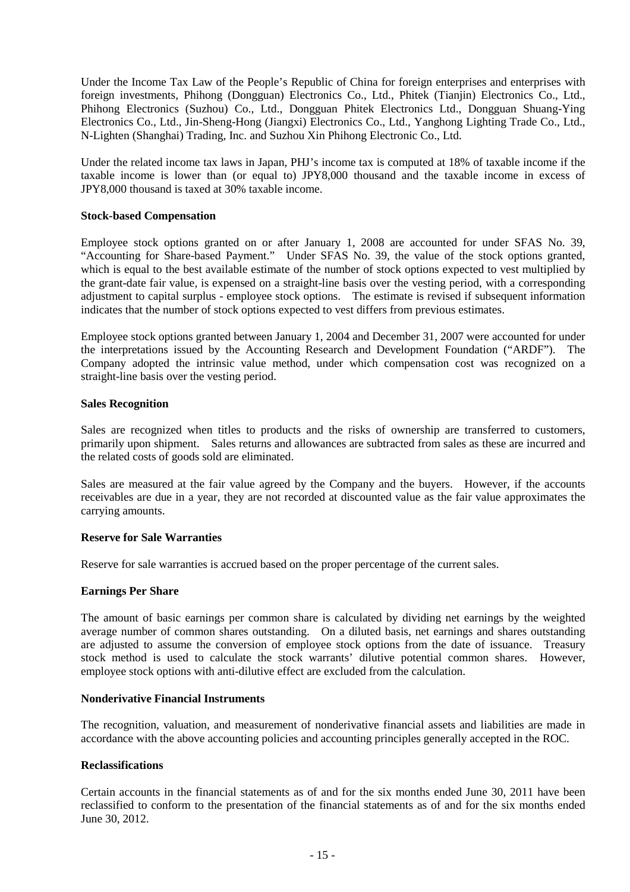Under the Income Tax Law of the People's Republic of China for foreign enterprises and enterprises with foreign investments, Phihong (Dongguan) Electronics Co., Ltd., Phitek (Tianjin) Electronics Co., Ltd., Phihong Electronics (Suzhou) Co., Ltd., Dongguan Phitek Electronics Ltd., Dongguan Shuang-Ying Electronics Co., Ltd., Jin-Sheng-Hong (Jiangxi) Electronics Co., Ltd., Yanghong Lighting Trade Co., Ltd., N-Lighten (Shanghai) Trading, Inc. and Suzhou Xin Phihong Electronic Co., Ltd.

Under the related income tax laws in Japan, PHJ's income tax is computed at 18% of taxable income if the taxable income is lower than (or equal to) JPY8,000 thousand and the taxable income in excess of JPY8,000 thousand is taxed at 30% taxable income.

#### **Stock-based Compensation**

Employee stock options granted on or after January 1, 2008 are accounted for under SFAS No. 39, "Accounting for Share-based Payment." Under SFAS No. 39, the value of the stock options granted, which is equal to the best available estimate of the number of stock options expected to vest multiplied by the grant-date fair value, is expensed on a straight-line basis over the vesting period, with a corresponding adjustment to capital surplus - employee stock options. The estimate is revised if subsequent information indicates that the number of stock options expected to vest differs from previous estimates.

Employee stock options granted between January 1, 2004 and December 31, 2007 were accounted for under the interpretations issued by the Accounting Research and Development Foundation ("ARDF"). The Company adopted the intrinsic value method, under which compensation cost was recognized on a straight-line basis over the vesting period.

#### **Sales Recognition**

Sales are recognized when titles to products and the risks of ownership are transferred to customers, primarily upon shipment. Sales returns and allowances are subtracted from sales as these are incurred and the related costs of goods sold are eliminated.

Sales are measured at the fair value agreed by the Company and the buyers. However, if the accounts receivables are due in a year, they are not recorded at discounted value as the fair value approximates the carrying amounts.

#### **Reserve for Sale Warranties**

Reserve for sale warranties is accrued based on the proper percentage of the current sales.

#### **Earnings Per Share**

The amount of basic earnings per common share is calculated by dividing net earnings by the weighted average number of common shares outstanding. On a diluted basis, net earnings and shares outstanding are adjusted to assume the conversion of employee stock options from the date of issuance. Treasury stock method is used to calculate the stock warrants' dilutive potential common shares. However, employee stock options with anti-dilutive effect are excluded from the calculation.

#### **Nonderivative Financial Instruments**

The recognition, valuation, and measurement of nonderivative financial assets and liabilities are made in accordance with the above accounting policies and accounting principles generally accepted in the ROC.

#### **Reclassifications**

Certain accounts in the financial statements as of and for the six months ended June 30, 2011 have been reclassified to conform to the presentation of the financial statements as of and for the six months ended June 30, 2012.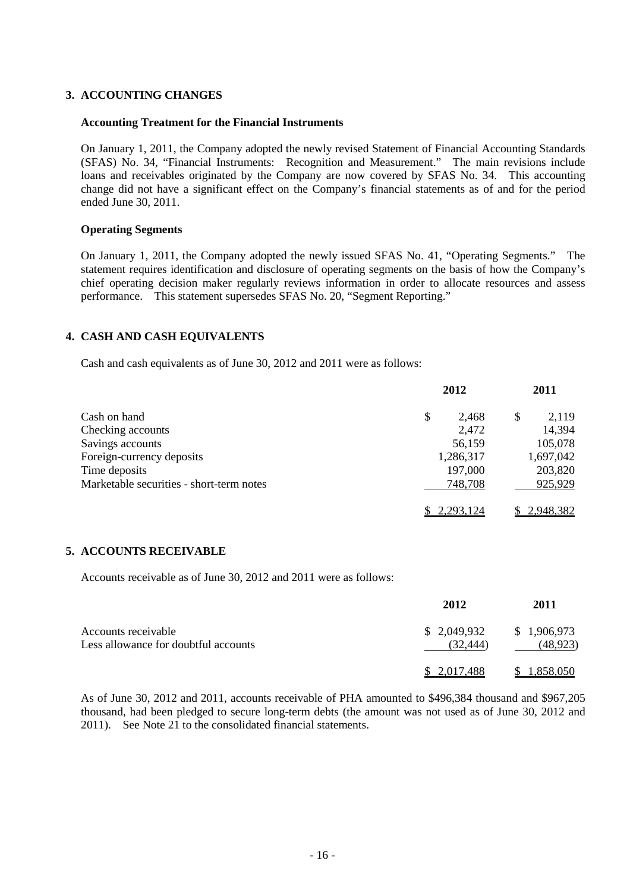# **3. ACCOUNTING CHANGES**

#### **Accounting Treatment for the Financial Instruments**

On January 1, 2011, the Company adopted the newly revised Statement of Financial Accounting Standards (SFAS) No. 34, "Financial Instruments: Recognition and Measurement." The main revisions include loans and receivables originated by the Company are now covered by SFAS No. 34. This accounting change did not have a significant effect on the Company's financial statements as of and for the period ended June 30, 2011.

#### **Operating Segments**

On January 1, 2011, the Company adopted the newly issued SFAS No. 41, "Operating Segments." The statement requires identification and disclosure of operating segments on the basis of how the Company's chief operating decision maker regularly reviews information in order to allocate resources and assess performance. This statement supersedes SFAS No. 20, "Segment Reporting."

# **4. CASH AND CASH EQUIVALENTS**

Cash and cash equivalents as of June 30, 2012 and 2011 were as follows:

|                                          | 2012 |           | 2011        |
|------------------------------------------|------|-----------|-------------|
| Cash on hand                             | \$   | 2.468     | \$<br>2,119 |
| Checking accounts                        |      | 2,472     | 14,394      |
| Savings accounts                         |      | 56,159    | 105,078     |
| Foreign-currency deposits                |      | 1,286,317 | 1,697,042   |
| Time deposits                            |      | 197,000   | 203,820     |
| Marketable securities - short-term notes |      | 748,708   | 925,929     |
|                                          |      | 2,293,124 | 2,948,382   |

#### **5. ACCOUNTS RECEIVABLE**

Accounts receivable as of June 30, 2012 and 2011 were as follows:

|                                                             | 2012                    | 2011                    |
|-------------------------------------------------------------|-------------------------|-------------------------|
| Accounts receivable<br>Less allowance for doubtful accounts | \$2,049,932<br>(32.444) | \$1,906,973<br>(48,923) |
|                                                             | \$ 2,017,488            | <u>1,858,050</u>        |

As of June 30, 2012 and 2011, accounts receivable of PHA amounted to \$496,384 thousand and \$967,205 thousand, had been pledged to secure long-term debts (the amount was not used as of June 30, 2012 and 2011). See Note 21 to the consolidated financial statements.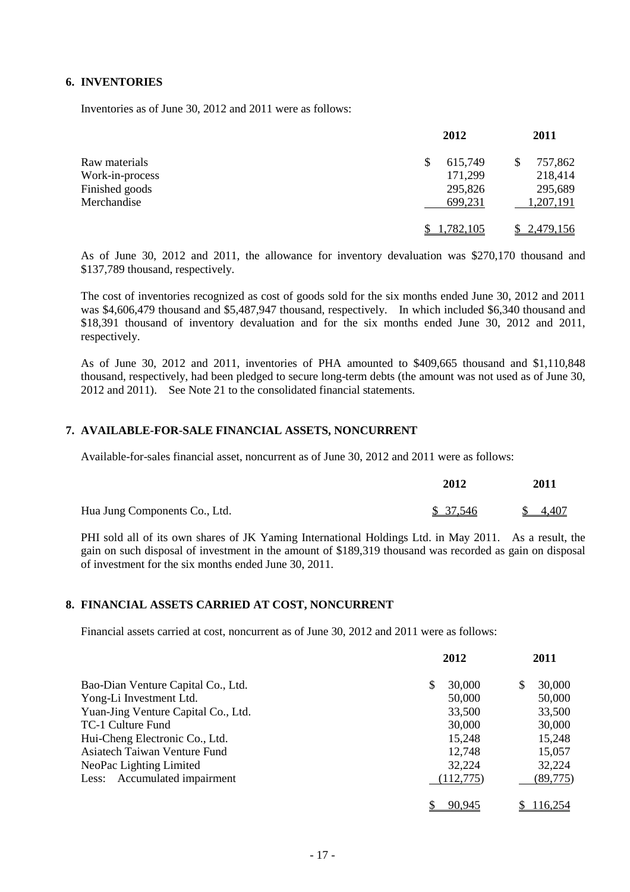### **6. INVENTORIES**

Inventories as of June 30, 2012 and 2011 were as follows:

|                 | 2012         | 2011      |
|-----------------|--------------|-----------|
| Raw materials   | 615,749<br>S | 757,862   |
| Work-in-process | 171,299      | 218,414   |
| Finished goods  | 295,826      | 295,689   |
| Merchandise     | 699,231      | 1,207,191 |
|                 | .782,105     | 2,479,156 |

As of June 30, 2012 and 2011, the allowance for inventory devaluation was \$270,170 thousand and \$137,789 thousand, respectively.

The cost of inventories recognized as cost of goods sold for the six months ended June 30, 2012 and 2011 was \$4,606,479 thousand and \$5,487,947 thousand, respectively. In which included \$6,340 thousand and \$18,391 thousand of inventory devaluation and for the six months ended June 30, 2012 and 2011, respectively.

As of June 30, 2012 and 2011, inventories of PHA amounted to \$409,665 thousand and \$1,110,848 thousand, respectively, had been pledged to secure long-term debts (the amount was not used as of June 30, 2012 and 2011). See Note 21 to the consolidated financial statements.

# **7. AVAILABLE-FOR-SALE FINANCIAL ASSETS, NONCURRENT**

Available-for-sales financial asset, noncurrent as of June 30, 2012 and 2011 were as follows:

|                               | 2012     | 2011    |
|-------------------------------|----------|---------|
| Hua Jung Components Co., Ltd. | \$37,546 | \$4,407 |

PHI sold all of its own shares of JK Yaming International Holdings Ltd. in May 2011. As a result, the gain on such disposal of investment in the amount of \$189,319 thousand was recorded as gain on disposal of investment for the six months ended June 30, 2011.

#### **8. FINANCIAL ASSETS CARRIED AT COST, NONCURRENT**

Financial assets carried at cost, noncurrent as of June 30, 2012 and 2011 were as follows:

|                                     | 2012         | 2011         |
|-------------------------------------|--------------|--------------|
| Bao-Dian Venture Capital Co., Ltd.  | 30,000<br>\$ | 30,000<br>\$ |
| Yong-Li Investment Ltd.             | 50,000       | 50,000       |
| Yuan-Jing Venture Capital Co., Ltd. | 33,500       | 33,500       |
| TC-1 Culture Fund                   | 30,000       | 30,000       |
| Hui-Cheng Electronic Co., Ltd.      | 15,248       | 15,248       |
| Asiatech Taiwan Venture Fund        | 12,748       | 15,057       |
| NeoPac Lighting Limited             | 32,224       | 32,224       |
| Less: Accumulated impairment        | (112,775)    | (89,775)     |
|                                     | 90.945       | 116.254      |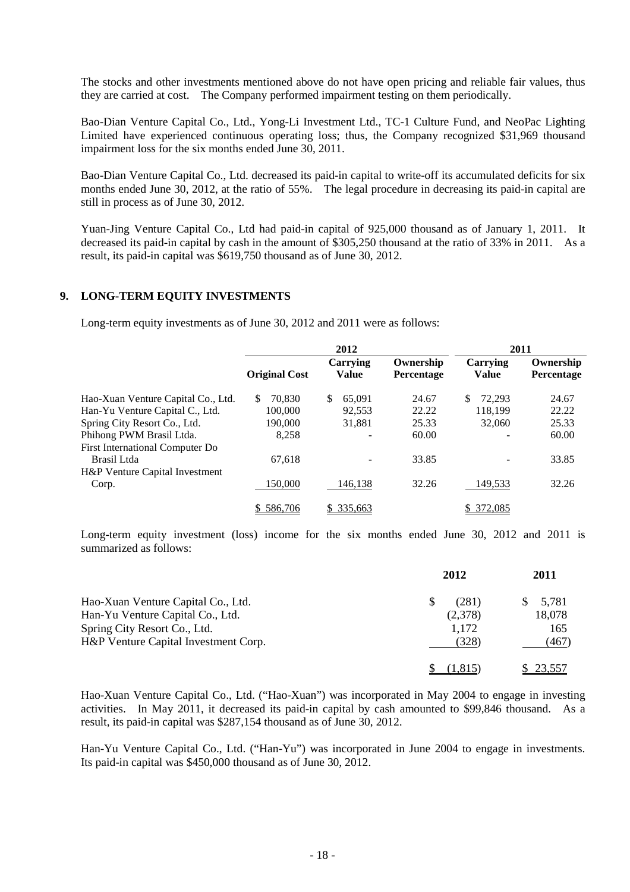The stocks and other investments mentioned above do not have open pricing and reliable fair values, thus they are carried at cost. The Company performed impairment testing on them periodically.

Bao-Dian Venture Capital Co., Ltd., Yong-Li Investment Ltd., TC-1 Culture Fund, and NeoPac Lighting Limited have experienced continuous operating loss; thus, the Company recognized \$31,969 thousand impairment loss for the six months ended June 30, 2011.

Bao-Dian Venture Capital Co., Ltd. decreased its paid-in capital to write-off its accumulated deficits for six months ended June 30, 2012, at the ratio of 55%. The legal procedure in decreasing its paid-in capital are still in process as of June 30, 2012.

Yuan-Jing Venture Capital Co., Ltd had paid-in capital of 925,000 thousand as of January 1, 2011. It decreased its paid-in capital by cash in the amount of \$305,250 thousand at the ratio of 33% in 2011. As a result, its paid-in capital was \$619,750 thousand as of June 30, 2012.

# **9. LONG-TERM EQUITY INVESTMENTS**

Long-term equity investments as of June 30, 2012 and 2011 were as follows:

|                                    | 2012                 |                   | 2011                    |                          |                         |
|------------------------------------|----------------------|-------------------|-------------------------|--------------------------|-------------------------|
|                                    | <b>Original Cost</b> | Carrying<br>Value | Ownership<br>Percentage | Carrying<br><b>Value</b> | Ownership<br>Percentage |
| Hao-Xuan Venture Capital Co., Ltd. | \$<br>70.830         | 65,091<br>\$.     | 24.67                   | \$<br>72.293             | 24.67                   |
| Han-Yu Venture Capital C., Ltd.    | 100,000              | 92.553            | 22.22                   | 118.199                  | 22.22                   |
| Spring City Resort Co., Ltd.       | 190,000              | 31.881            | 25.33                   | 32,060                   | 25.33                   |
| Phihong PWM Brasil Ltda.           | 8.258                |                   | 60.00                   |                          | 60.00                   |
| First International Computer Do    |                      |                   |                         |                          |                         |
| Brasil Ltda                        | 67,618               |                   | 33.85                   |                          | 33.85                   |
| H&P Venture Capital Investment     |                      |                   |                         |                          |                         |
| Corp.                              | 150.000              | 146,138           | 32.26                   | 149,533                  | 32.26                   |
|                                    | \$586.706            | \$ 335,663        |                         | 372,085<br>S.            |                         |

Long-term equity investment (loss) income for the six months ended June 30, 2012 and 2011 is summarized as follows:

|                                      | 2012       | 2011        |
|--------------------------------------|------------|-------------|
| Hao-Xuan Venture Capital Co., Ltd.   | (281)<br>S | 5,781<br>S. |
| Han-Yu Venture Capital Co., Ltd.     | (2,378)    | 18,078      |
| Spring City Resort Co., Ltd.         | 1,172      | 165         |
| H&P Venture Capital Investment Corp. | (328)      | (467)       |
|                                      | (1.815)    | 23.557      |

Hao-Xuan Venture Capital Co., Ltd. ("Hao-Xuan") was incorporated in May 2004 to engage in investing activities. In May 2011, it decreased its paid-in capital by cash amounted to \$99,846 thousand. As a result, its paid-in capital was \$287,154 thousand as of June 30, 2012.

Han-Yu Venture Capital Co., Ltd. ("Han-Yu") was incorporated in June 2004 to engage in investments. Its paid-in capital was \$450,000 thousand as of June 30, 2012.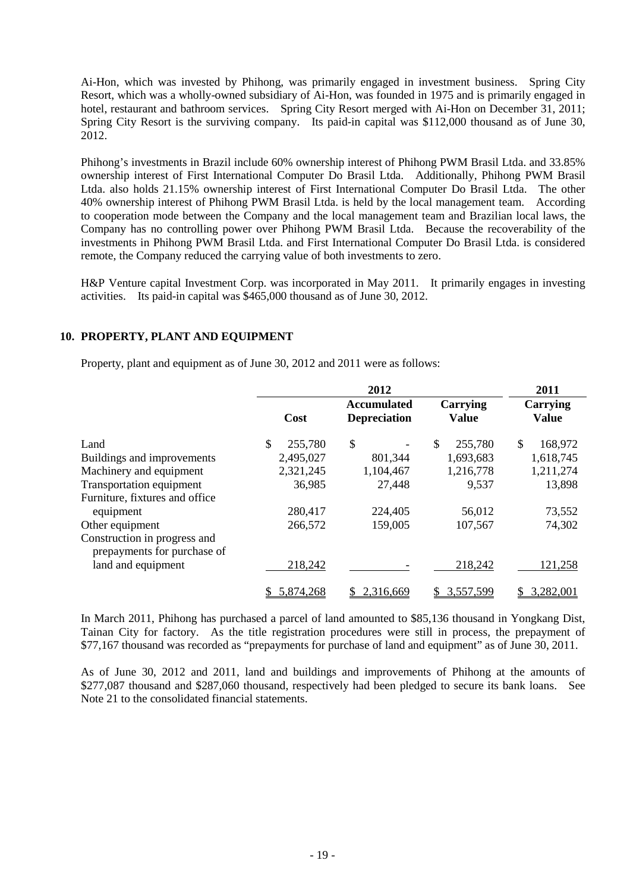Ai-Hon, which was invested by Phihong, was primarily engaged in investment business. Spring City Resort, which was a wholly-owned subsidiary of Ai-Hon, was founded in 1975 and is primarily engaged in hotel, restaurant and bathroom services. Spring City Resort merged with Ai-Hon on December 31, 2011; Spring City Resort is the surviving company. Its paid-in capital was \$112,000 thousand as of June 30, 2012.

Phihong's investments in Brazil include 60% ownership interest of Phihong PWM Brasil Ltda. and 33.85% ownership interest of First International Computer Do Brasil Ltda. Additionally, Phihong PWM Brasil Ltda. also holds 21.15% ownership interest of First International Computer Do Brasil Ltda. The other 40% ownership interest of Phihong PWM Brasil Ltda. is held by the local management team. According to cooperation mode between the Company and the local management team and Brazilian local laws, the Company has no controlling power over Phihong PWM Brasil Ltda. Because the recoverability of the investments in Phihong PWM Brasil Ltda. and First International Computer Do Brasil Ltda. is considered remote, the Company reduced the carrying value of both investments to zero.

H&P Venture capital Investment Corp. was incorporated in May 2011. It primarily engages in investing activities. Its paid-in capital was \$465,000 thousand as of June 30, 2012.

# **10. PROPERTY, PLANT AND EQUIPMENT**

Property, plant and equipment as of June 30, 2012 and 2011 were as follows:

|                                                             |               | 2012                                      |                          | 2011                     |
|-------------------------------------------------------------|---------------|-------------------------------------------|--------------------------|--------------------------|
|                                                             | Cost          | <b>Accumulated</b><br><b>Depreciation</b> | Carrying<br><b>Value</b> | Carrying<br><b>Value</b> |
| Land                                                        | \$<br>255,780 | \$                                        | \$<br>255,780            | 168,972<br>S             |
| Buildings and improvements                                  | 2,495,027     | 801,344                                   | 1,693,683                | 1,618,745                |
| Machinery and equipment                                     | 2,321,245     | 1,104,467                                 | 1,216,778                | 1,211,274                |
| Transportation equipment                                    | 36,985        | 27,448                                    | 9,537                    | 13,898                   |
| Furniture, fixtures and office                              |               |                                           |                          |                          |
| equipment                                                   | 280,417       | 224,405                                   | 56,012                   | 73,552                   |
| Other equipment                                             | 266,572       | 159,005                                   | 107,567                  | 74,302                   |
| Construction in progress and<br>prepayments for purchase of |               |                                           |                          |                          |
| land and equipment                                          | 218,242       |                                           | 218,242                  | 121,258                  |
|                                                             | 5,874,268     | 2,316,669                                 | 3,557,599                | 3,282,001                |

In March 2011, Phihong has purchased a parcel of land amounted to \$85,136 thousand in Yongkang Dist, Tainan City for factory. As the title registration procedures were still in process, the prepayment of \$77,167 thousand was recorded as "prepayments for purchase of land and equipment" as of June 30, 2011.

As of June 30, 2012 and 2011, land and buildings and improvements of Phihong at the amounts of \$277,087 thousand and \$287,060 thousand, respectively had been pledged to secure its bank loans. See Note 21 to the consolidated financial statements.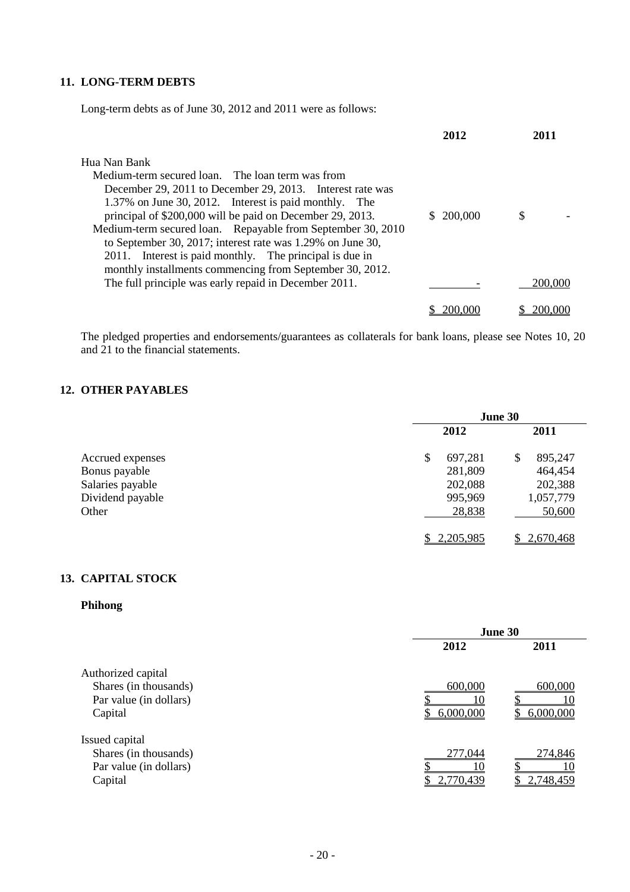# **11. LONG-TERM DEBTS**

Long-term debts as of June 30, 2012 and 2011 were as follows:

|                                                             | 2012       | 2011    |
|-------------------------------------------------------------|------------|---------|
| Hua Nan Bank                                                |            |         |
| Medium-term secured loan. The loan term was from            |            |         |
| December 29, 2011 to December 29, 2013. Interest rate was   |            |         |
| 1.37% on June 30, 2012. Interest is paid monthly. The       |            |         |
| principal of \$200,000 will be paid on December 29, 2013.   | \$ 200,000 | S       |
| Medium-term secured loan. Repayable from September 30, 2010 |            |         |
| to September 30, 2017; interest rate was 1.29% on June 30,  |            |         |
| Interest is paid monthly. The principal is due in<br>2011.  |            |         |
| monthly installments commencing from September 30, 2012.    |            |         |
| The full principle was early repaid in December 2011.       |            | 200,000 |
|                                                             |            |         |
|                                                             | 200,000    | 200,000 |

The pledged properties and endorsements/guarantees as collaterals for bank loans, please see Notes 10, 20 and 21 to the financial statements.

# **12. OTHER PAYABLES**

|                  | June 30 |           |    |           |
|------------------|---------|-----------|----|-----------|
|                  |         | 2012      |    | 2011      |
| Accrued expenses | \$      | 697,281   | \$ | 895,247   |
| Bonus payable    |         | 281,809   |    | 464,454   |
| Salaries payable |         | 202,088   |    | 202,388   |
| Dividend payable |         | 995,969   |    | 1,057,779 |
| Other            |         | 28,838    |    | 50,600    |
|                  |         | 2,205,985 |    | 2,670,468 |

# **13. CAPITAL STOCK**

# **Phihong**

|                        | June 30   |           |  |
|------------------------|-----------|-----------|--|
|                        | 2012      | 2011      |  |
| Authorized capital     |           |           |  |
| Shares (in thousands)  | 600,000   | 600,000   |  |
| Par value (in dollars) |           |           |  |
| Capital                | 6,000,000 | 6,000,000 |  |
| Issued capital         |           |           |  |
| Shares (in thousands)  | 277,044   | 274,846   |  |
| Par value (in dollars) |           |           |  |
| Capital                | 2,770,439 | 2,748,459 |  |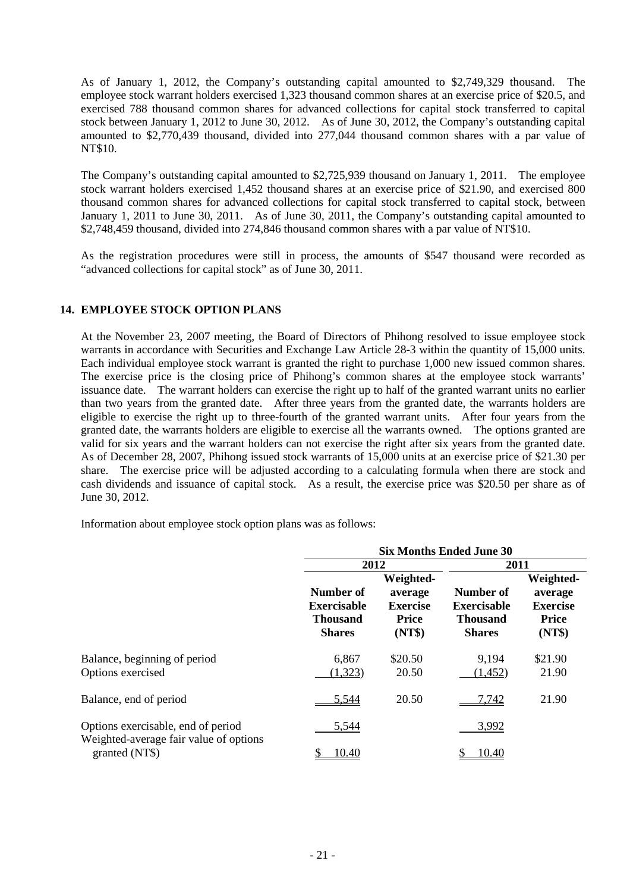As of January 1, 2012, the Company's outstanding capital amounted to \$2,749,329 thousand. The employee stock warrant holders exercised 1,323 thousand common shares at an exercise price of \$20.5, and exercised 788 thousand common shares for advanced collections for capital stock transferred to capital stock between January 1, 2012 to June 30, 2012. As of June 30, 2012, the Company's outstanding capital amounted to \$2,770,439 thousand, divided into 277,044 thousand common shares with a par value of NT\$10.

The Company's outstanding capital amounted to \$2,725,939 thousand on January 1, 2011. The employee stock warrant holders exercised 1,452 thousand shares at an exercise price of \$21.90, and exercised 800 thousand common shares for advanced collections for capital stock transferred to capital stock, between January 1, 2011 to June 30, 2011. As of June 30, 2011, the Company's outstanding capital amounted to \$2,748,459 thousand, divided into 274,846 thousand common shares with a par value of NT\$10.

As the registration procedures were still in process, the amounts of \$547 thousand were recorded as "advanced collections for capital stock" as of June 30, 2011.

# **14. EMPLOYEE STOCK OPTION PLANS**

At the November 23, 2007 meeting, the Board of Directors of Phihong resolved to issue employee stock warrants in accordance with Securities and Exchange Law Article 28-3 within the quantity of 15,000 units. Each individual employee stock warrant is granted the right to purchase 1,000 new issued common shares. The exercise price is the closing price of Phihong's common shares at the employee stock warrants' issuance date. The warrant holders can exercise the right up to half of the granted warrant units no earlier than two years from the granted date. After three years from the granted date, the warrants holders are eligible to exercise the right up to three-fourth of the granted warrant units. After four years from the granted date, the warrants holders are eligible to exercise all the warrants owned. The options granted are valid for six years and the warrant holders can not exercise the right after six years from the granted date. As of December 28, 2007, Phihong issued stock warrants of 15,000 units at an exercise price of \$21.30 per share. The exercise price will be adjusted according to a calculating formula when there are stock and cash dividends and issuance of capital stock. As a result, the exercise price was \$20.50 per share as of June 30, 2012.

Information about employee stock option plans was as follows:

|                                                                              | <b>Six Months Ended June 30</b>                                     |                                                                   |                                                                     |                                                                   |  |
|------------------------------------------------------------------------------|---------------------------------------------------------------------|-------------------------------------------------------------------|---------------------------------------------------------------------|-------------------------------------------------------------------|--|
|                                                                              | 2012                                                                |                                                                   | 2011                                                                |                                                                   |  |
|                                                                              | Number of<br><b>Exercisable</b><br><b>Thousand</b><br><b>Shares</b> | Weighted-<br>average<br><b>Exercise</b><br><b>Price</b><br>(NT\$) | Number of<br><b>Exercisable</b><br><b>Thousand</b><br><b>Shares</b> | Weighted-<br>average<br><b>Exercise</b><br><b>Price</b><br>(NT\$) |  |
| Balance, beginning of period<br>Options exercised                            | 6,867<br>(1,323)                                                    | \$20.50<br>20.50                                                  | 9,194<br>(1, 452)                                                   | \$21.90<br>21.90                                                  |  |
| Balance, end of period                                                       | 5,544                                                               | 20.50                                                             | 7,742                                                               | 21.90                                                             |  |
| Options exercisable, end of period<br>Weighted-average fair value of options | 5,544                                                               |                                                                   | 3,992                                                               |                                                                   |  |
| granted (NT\$)                                                               | 10.40                                                               |                                                                   | 10.40                                                               |                                                                   |  |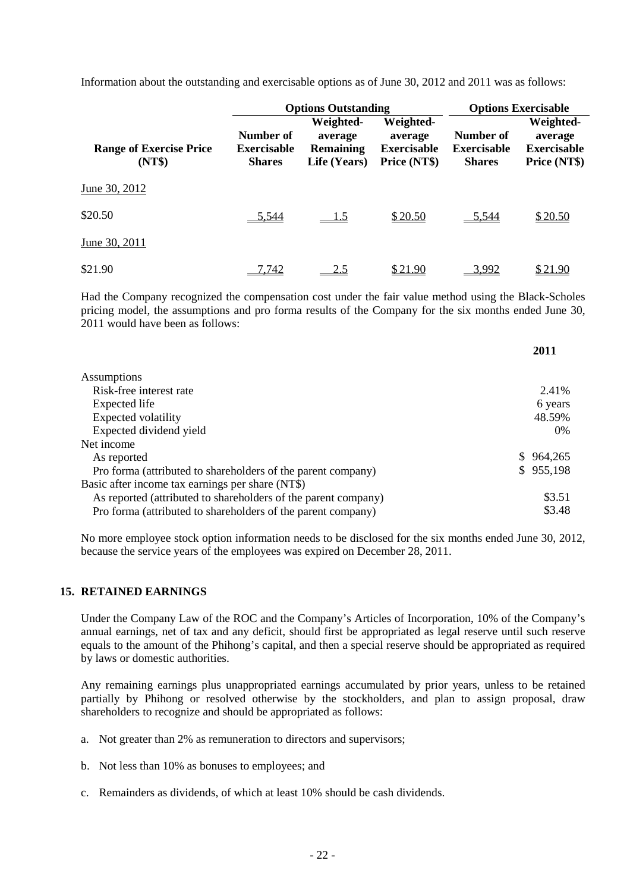Information about the outstanding and exercisable options as of June 30, 2012 and 2011 was as follows:

|                                          |                                                  | <b>Options Outstanding</b>                               | <b>Options Exercisable</b>                                 |                                                  |                                                            |
|------------------------------------------|--------------------------------------------------|----------------------------------------------------------|------------------------------------------------------------|--------------------------------------------------|------------------------------------------------------------|
| <b>Range of Exercise Price</b><br>(NT\$) | Number of<br><b>Exercisable</b><br><b>Shares</b> | Weighted-<br>average<br><b>Remaining</b><br>Life (Years) | Weighted-<br>average<br><b>Exercisable</b><br>Price (NT\$) | Number of<br><b>Exercisable</b><br><b>Shares</b> | Weighted-<br>average<br><b>Exercisable</b><br>Price (NT\$) |
| June 30, 2012                            |                                                  |                                                          |                                                            |                                                  |                                                            |
| \$20.50                                  | 5.544                                            | <u> 1.5</u>                                              | \$20.50                                                    | 5.544                                            | \$20.50                                                    |
| June 30, 2011                            |                                                  |                                                          |                                                            |                                                  |                                                            |
| \$21.90                                  | .742                                             | 2.5                                                      | \$21.90                                                    | 3.992                                            | \$21.90                                                    |

Had the Company recognized the compensation cost under the fair value method using the Black-Scholes pricing model, the assumptions and pro forma results of the Company for the six months ended June 30, 2011 would have been as follows:

**2011**

|                                                                | 2011           |
|----------------------------------------------------------------|----------------|
| <b>Assumptions</b>                                             |                |
| Risk-free interest rate                                        | 2.41%          |
| Expected life                                                  | 6 years        |
| Expected volatility                                            | 48.59%         |
| Expected dividend yield                                        | $0\%$          |
| Net income                                                     |                |
| As reported                                                    | 964,265<br>SS. |
| Pro forma (attributed to shareholders of the parent company)   | \$955,198      |
| Basic after income tax earnings per share (NT\$)               |                |
| As reported (attributed to shareholders of the parent company) | \$3.51         |
| Pro forma (attributed to shareholders of the parent company)   | \$3.48         |

No more employee stock option information needs to be disclosed for the six months ended June 30, 2012, because the service years of the employees was expired on December 28, 2011.

# **15. RETAINED EARNINGS**

Under the Company Law of the ROC and the Company's Articles of Incorporation, 10% of the Company's annual earnings, net of tax and any deficit, should first be appropriated as legal reserve until such reserve equals to the amount of the Phihong's capital, and then a special reserve should be appropriated as required by laws or domestic authorities.

Any remaining earnings plus unappropriated earnings accumulated by prior years, unless to be retained partially by Phihong or resolved otherwise by the stockholders, and plan to assign proposal, draw shareholders to recognize and should be appropriated as follows:

- a. Not greater than 2% as remuneration to directors and supervisors;
- b. Not less than 10% as bonuses to employees; and
- c. Remainders as dividends, of which at least 10% should be cash dividends.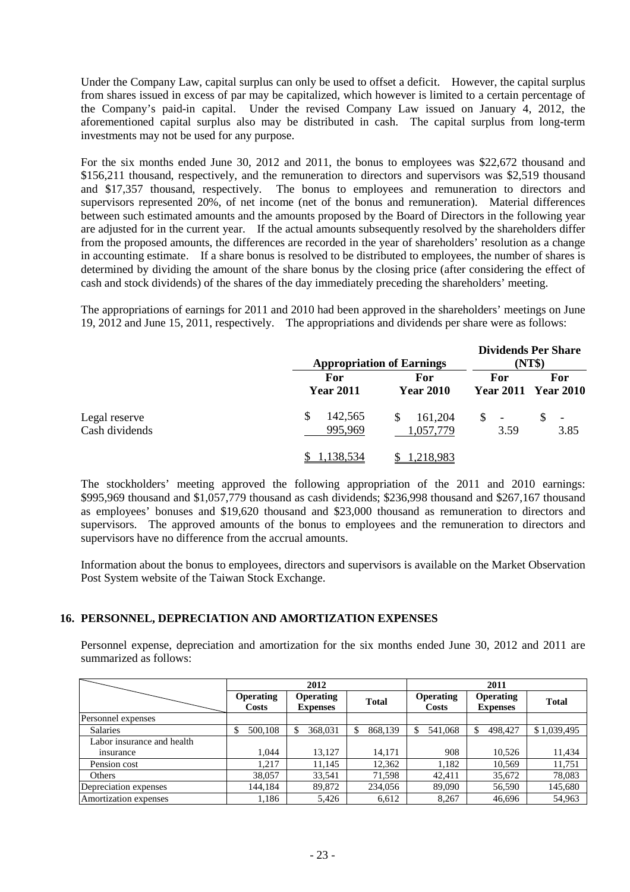Under the Company Law, capital surplus can only be used to offset a deficit. However, the capital surplus from shares issued in excess of par may be capitalized, which however is limited to a certain percentage of the Company's paid-in capital. Under the revised Company Law issued on January 4, 2012, the aforementioned capital surplus also may be distributed in cash. The capital surplus from long-term investments may not be used for any purpose.

For the six months ended June 30, 2012 and 2011, the bonus to employees was \$22,672 thousand and \$156,211 thousand, respectively, and the remuneration to directors and supervisors was \$2,519 thousand and \$17,357 thousand, respectively. The bonus to employees and remuneration to directors and supervisors represented 20%, of net income (net of the bonus and remuneration). Material differences between such estimated amounts and the amounts proposed by the Board of Directors in the following year are adjusted for in the current year. If the actual amounts subsequently resolved by the shareholders differ from the proposed amounts, the differences are recorded in the year of shareholders' resolution as a change in accounting estimate. If a share bonus is resolved to be distributed to employees, the number of shares is determined by dividing the amount of the share bonus by the closing price (after considering the effect of cash and stock dividends) of the shares of the day immediately preceding the shareholders' meeting.

The appropriations of earnings for 2011 and 2010 had been approved in the shareholders' meetings on June 19, 2012 and June 15, 2011, respectively. The appropriations and dividends per share were as follows:

|                                 | <b>Appropriation of Earnings</b> |                            |            | <b>Dividends Per Share</b><br>(NT\$) |
|---------------------------------|----------------------------------|----------------------------|------------|--------------------------------------|
|                                 | For<br><b>Year 2011</b>          | For<br><b>Year 2010</b>    | For        | For<br><b>Year 2011 Year 2010</b>    |
| Legal reserve<br>Cash dividends | 142,565<br>S<br>995,969          | 161,204<br>S.<br>1,057,779 | S.<br>3.59 | $\overline{\phantom{a}}$<br>3.85     |
|                                 | 1.138.534                        | 1,218,983                  |            |                                      |

The stockholders' meeting approved the following appropriation of the 2011 and 2010 earnings: \$995,969 thousand and \$1,057,779 thousand as cash dividends; \$236,998 thousand and \$267,167 thousand as employees' bonuses and \$19,620 thousand and \$23,000 thousand as remuneration to directors and supervisors. The approved amounts of the bonus to employees and the remuneration to directors and supervisors have no difference from the accrual amounts.

Information about the bonus to employees, directors and supervisors is available on the Market Observation Post System website of the Taiwan Stock Exchange.

#### **16. PERSONNEL, DEPRECIATION AND AMORTIZATION EXPENSES**

Personnel expense, depreciation and amortization for the six months ended June 30, 2012 and 2011 are summarized as follows:

|                            |                                  | 2012                                |              | 2011                      |                                     |              |  |
|----------------------------|----------------------------------|-------------------------------------|--------------|---------------------------|-------------------------------------|--------------|--|
|                            | <b>Operating</b><br><b>Costs</b> | <b>Operating</b><br><b>Expenses</b> | <b>Total</b> | <b>Operating</b><br>Costs | <b>Operating</b><br><b>Expenses</b> | <b>Total</b> |  |
| Personnel expenses         |                                  |                                     |              |                           |                                     |              |  |
| <b>Salaries</b>            | 500,108<br>S                     | 368,031                             | 868,139<br>S | 541,068<br>S              | 498,427<br>\$                       | \$1,039,495  |  |
| Labor insurance and health |                                  |                                     |              |                           |                                     |              |  |
| insurance                  | 1.044                            | 13,127                              | 14,171       | 908                       | 10,526                              | 11,434       |  |
| Pension cost               | 1,217                            | 11,145                              | 12,362       | 1,182                     | 10,569                              | 11,751       |  |
| Others                     | 38,057                           | 33,541                              | 71,598       | 42,411                    | 35,672                              | 78,083       |  |
| Depreciation expenses      | 144,184                          | 89,872                              | 234,056      | 89,090                    | 56,590                              | 145,680      |  |
| Amortization expenses      | 1,186                            | 5,426                               | 6,612        | 8,267                     | 46,696                              | 54,963       |  |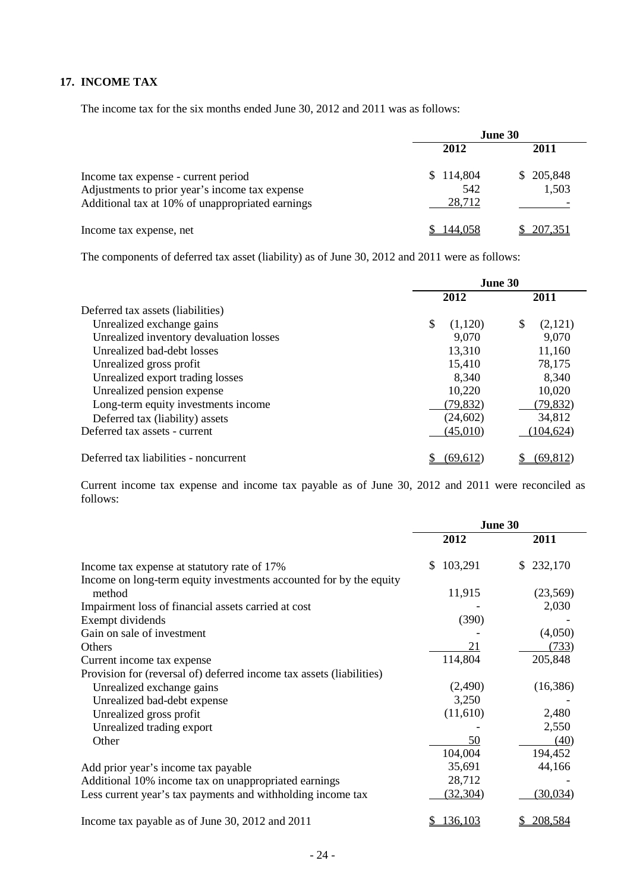# **17. INCOME TAX**

The income tax for the six months ended June 30, 2012 and 2011 was as follows:

|                                                                                                                                           | <b>June 30</b>             |                    |  |
|-------------------------------------------------------------------------------------------------------------------------------------------|----------------------------|--------------------|--|
|                                                                                                                                           | 2012                       | 2011               |  |
| Income tax expense - current period<br>Adjustments to prior year's income tax expense<br>Additional tax at 10% of unappropriated earnings | \$114,804<br>542<br>28,712 | \$205,848<br>1,503 |  |
| Income tax expense, net                                                                                                                   | 144,058                    | 207,351            |  |

The components of deferred tax asset (liability) as of June 30, 2012 and 2011 were as follows:

|                                         | June 30       |               |  |
|-----------------------------------------|---------------|---------------|--|
|                                         | 2012          | 2011          |  |
| Deferred tax assets (liabilities)       |               |               |  |
| Unrealized exchange gains               | \$<br>(1,120) | \$<br>(2,121) |  |
| Unrealized inventory devaluation losses | 9,070         | 9,070         |  |
| Unrealized bad-debt losses              | 13,310        | 11,160        |  |
| Unrealized gross profit                 | 15,410        | 78,175        |  |
| Unrealized export trading losses        | 8,340         | 8,340         |  |
| Unrealized pension expense              | 10,220        | 10,020        |  |
| Long-term equity investments income     | (79, 832)     | (79, 832)     |  |
| Deferred tax (liability) assets         | (24, 602)     | 34,812        |  |
| Deferred tax assets - current           | (45,010)      | (104, 624)    |  |
| Deferred tax liabilities - noncurrent   | (69, 612)     | (69, 812)     |  |

Current income tax expense and income tax payable as of June 30, 2012 and 2011 were reconciled as follows:

|                                                                      | June 30       |               |  |
|----------------------------------------------------------------------|---------------|---------------|--|
|                                                                      | 2012          | 2011          |  |
| Income tax expense at statutory rate of 17%                          | 103,291<br>S. | 232,170<br>S. |  |
| Income on long-term equity investments accounted for by the equity   |               |               |  |
| method                                                               | 11,915        | (23, 569)     |  |
| Impairment loss of financial assets carried at cost                  |               | 2,030         |  |
| Exempt dividends                                                     | (390)         |               |  |
| Gain on sale of investment                                           |               | (4,050)       |  |
| <b>Others</b>                                                        | 21            | (733)         |  |
| Current income tax expense                                           | 114,804       | 205,848       |  |
| Provision for (reversal of) deferred income tax assets (liabilities) |               |               |  |
| Unrealized exchange gains                                            | (2,490)       | (16, 386)     |  |
| Unrealized bad-debt expense                                          | 3,250         |               |  |
| Unrealized gross profit                                              | (11,610)      | 2,480         |  |
| Unrealized trading export                                            |               | 2,550         |  |
| Other                                                                | 50            | (40)          |  |
|                                                                      | 104,004       | 194,452       |  |
| Add prior year's income tax payable                                  | 35,691        | 44,166        |  |
| Additional 10% income tax on unappropriated earnings                 | 28,712        |               |  |
| Less current year's tax payments and withholding income tax          | (32, 304)     | (30,034)      |  |
| Income tax payable as of June 30, 2012 and 2011                      | 136,103       | 208,584       |  |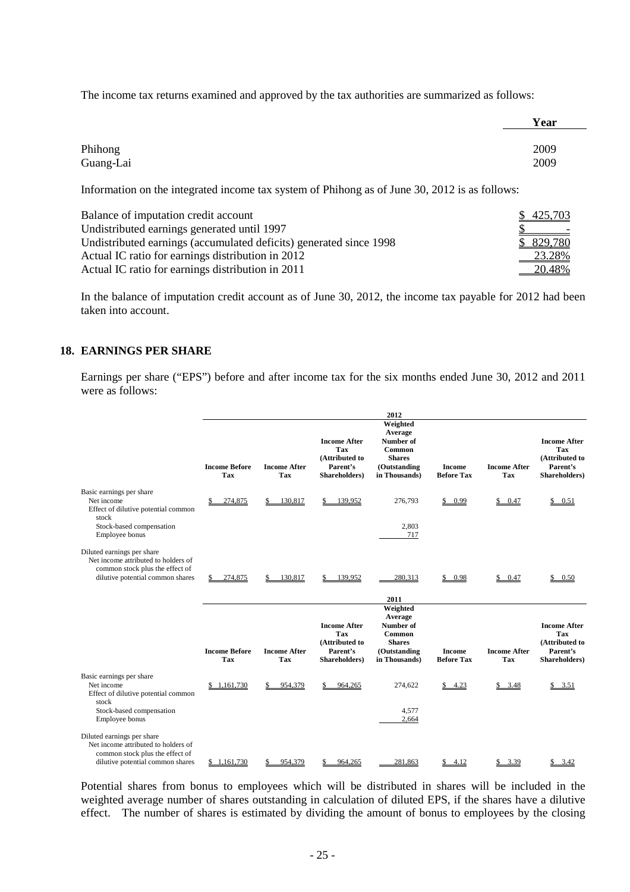The income tax returns examined and approved by the tax authorities are summarized as follows:

|           | Year |
|-----------|------|
| Phihong   | 2009 |
| Guang-Lai | 2009 |

Information on the integrated income tax system of Phihong as of June 30, 2012 is as follows:

| Balance of imputation credit account                               | \$425,703 |
|--------------------------------------------------------------------|-----------|
| Undistributed earnings generated until 1997                        |           |
| Undistributed earnings (accumulated deficits) generated since 1998 | \$829,780 |
| Actual IC ratio for earnings distribution in 2012                  | 23.28%    |
| Actual IC ratio for earnings distribution in 2011                  | 20.48%    |

In the balance of imputation credit account as of June 30, 2012, the income tax payable for 2012 had been taken into account.

#### **18. EARNINGS PER SHARE**

Earnings per share ("EPS") before and after income tax for the six months ended June 30, 2012 and 2011 were as follows:

|                                                                                                                                          |                                    |                                   |                                                                           | 2012                                                                                         |                                    |                                   |                                                                           |
|------------------------------------------------------------------------------------------------------------------------------------------|------------------------------------|-----------------------------------|---------------------------------------------------------------------------|----------------------------------------------------------------------------------------------|------------------------------------|-----------------------------------|---------------------------------------------------------------------------|
|                                                                                                                                          | <b>Income Before</b><br><b>Tax</b> | <b>Income After</b><br><b>Tax</b> | <b>Income After</b><br>Tax<br>(Attributed to<br>Parent's<br>Shareholders) | Weighted<br>Average<br>Number of<br>Common<br><b>Shares</b><br>(Outstanding<br>in Thousands) | <b>Income</b><br><b>Before Tax</b> | <b>Income After</b><br><b>Tax</b> | <b>Income After</b><br>Tax<br>(Attributed to<br>Parent's<br>Shareholders) |
| Basic earnings per share<br>Net income<br>Effect of dilutive potential common<br>stock<br>Stock-based compensation<br>Employee bonus     | 274,875                            | 130,817                           | 139.952                                                                   | 276,793<br>2,803<br>717                                                                      | \$0.99                             | \$0.47                            | \$0.51                                                                    |
| Diluted earnings per share<br>Net income attributed to holders of<br>common stock plus the effect of<br>dilutive potential common shares | 274,875                            | 130,817                           | 139,952                                                                   | 280,313<br>2011                                                                              | 0.98<br>S                          | \$0.47                            | 0.50                                                                      |
|                                                                                                                                          | <b>Income Before</b><br><b>Tax</b> | <b>Income After</b><br>Tax        | <b>Income After</b><br>Tax<br>(Attributed to<br>Parent's<br>Shareholders) | Weighted<br>Average<br>Number of<br>Common<br><b>Shares</b><br>(Outstanding<br>in Thousands) | <b>Income</b><br><b>Before Tax</b> | <b>Income After</b><br><b>Tax</b> | <b>Income After</b><br>Tax<br>(Attributed to<br>Parent's<br>Shareholders) |
| Basic earnings per share<br>Net income<br>Effect of dilutive potential common<br>stock<br>Stock-based compensation<br>Employee bonus     | \$1,161,730                        | 954,379                           | 964,265                                                                   | 274,622<br>4,577<br>2,664                                                                    | \$4.23                             | \$3.48                            | \$3.51                                                                    |
| Diluted earnings per share<br>Net income attributed to holders of<br>common stock plus the effect of<br>dilutive potential common shares | \$1.161.730                        | 954.379                           | 964.265                                                                   | 281.863                                                                                      | 4.12                               | 3.39                              | 3.42                                                                      |

Potential shares from bonus to employees which will be distributed in shares will be included in the weighted average number of shares outstanding in calculation of diluted EPS, if the shares have a dilutive effect. The number of shares is estimated by dividing the amount of bonus to employees by the closing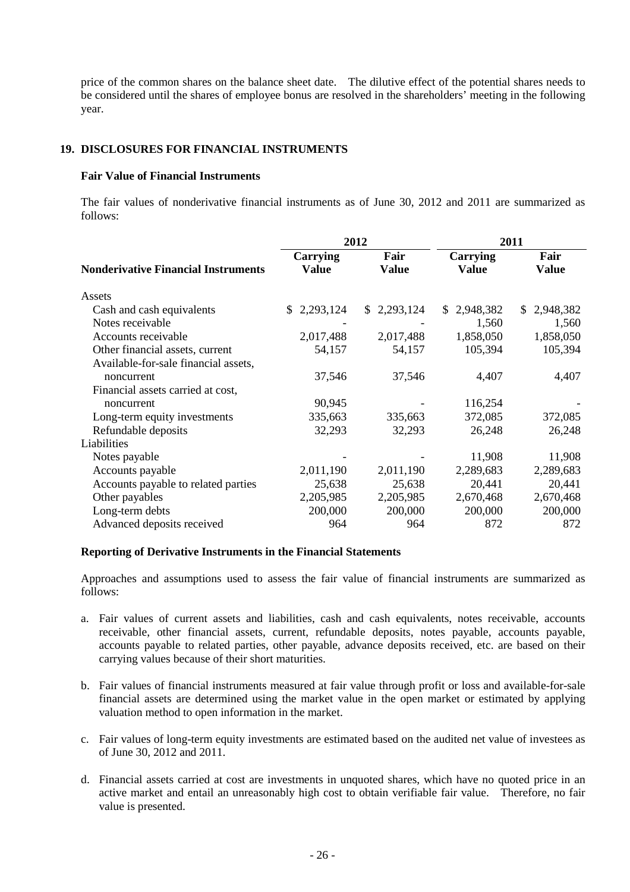price of the common shares on the balance sheet date. The dilutive effect of the potential shares needs to be considered until the shares of employee bonus are resolved in the shareholders' meeting in the following year.

# **19. DISCLOSURES FOR FINANCIAL INSTRUMENTS**

#### **Fair Value of Financial Instruments**

The fair values of nonderivative financial instruments as of June 30, 2012 and 2011 are summarized as follows:

|                                            |                 | 2012                      | 2011            |             |  |
|--------------------------------------------|-----------------|---------------------------|-----------------|-------------|--|
|                                            | <b>Carrying</b> | Fair                      | <b>Carrying</b> | Fair        |  |
| <b>Nonderivative Financial Instruments</b> | <b>Value</b>    | Value                     | Value           | Value       |  |
| Assets                                     |                 |                           |                 |             |  |
| Cash and cash equivalents                  | 2,293,124<br>S. | 2,293,124<br><sup>S</sup> | \$2,948,382     | \$2,948,382 |  |
| Notes receivable                           |                 |                           | 1,560           | 1,560       |  |
| Accounts receivable                        | 2,017,488       | 2,017,488                 | 1,858,050       | 1,858,050   |  |
| Other financial assets, current            | 54,157          | 54,157                    | 105,394         | 105,394     |  |
| Available-for-sale financial assets,       |                 |                           |                 |             |  |
| noncurrent                                 | 37,546          | 37,546                    | 4,407           | 4,407       |  |
| Financial assets carried at cost,          |                 |                           |                 |             |  |
| noncurrent                                 | 90,945          |                           | 116,254         |             |  |
| Long-term equity investments               | 335,663         | 335,663                   | 372,085         | 372,085     |  |
| Refundable deposits                        | 32,293          | 32,293                    | 26,248          | 26,248      |  |
| Liabilities                                |                 |                           |                 |             |  |
| Notes payable                              |                 |                           | 11,908          | 11,908      |  |
| Accounts payable                           | 2,011,190       | 2,011,190                 | 2,289,683       | 2,289,683   |  |
| Accounts payable to related parties        | 25,638          | 25,638                    | 20,441          | 20,441      |  |
| Other payables                             | 2,205,985       | 2,205,985                 | 2,670,468       | 2,670,468   |  |
| Long-term debts                            | 200,000         | 200,000                   | 200,000         | 200,000     |  |
| Advanced deposits received                 | 964             | 964                       | 872             | 872         |  |

#### **Reporting of Derivative Instruments in the Financial Statements**

Approaches and assumptions used to assess the fair value of financial instruments are summarized as follows:

- a. Fair values of current assets and liabilities, cash and cash equivalents, notes receivable, accounts receivable, other financial assets, current, refundable deposits, notes payable, accounts payable, accounts payable to related parties, other payable, advance deposits received, etc. are based on their carrying values because of their short maturities.
- b. Fair values of financial instruments measured at fair value through profit or loss and available-for-sale financial assets are determined using the market value in the open market or estimated by applying valuation method to open information in the market.
- c. Fair values of long-term equity investments are estimated based on the audited net value of investees as of June 30, 2012 and 2011.
- d. Financial assets carried at cost are investments in unquoted shares, which have no quoted price in an active market and entail an unreasonably high cost to obtain verifiable fair value. Therefore, no fair value is presented.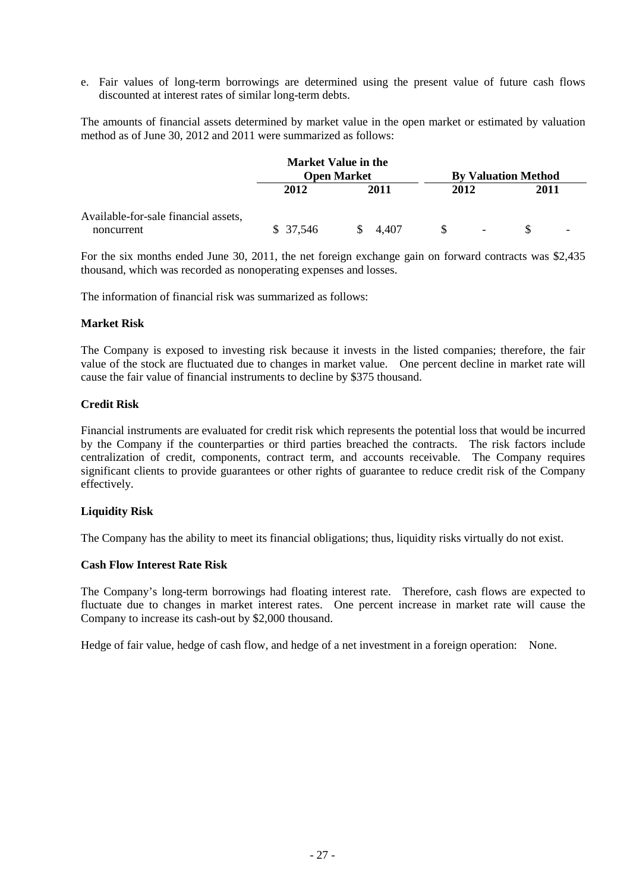e. Fair values of long-term borrowings are determined using the present value of future cash flows discounted at interest rates of similar long-term debts.

The amounts of financial assets determined by market value in the open market or estimated by valuation method as of June 30, 2012 and 2011 were summarized as follows:

|                                                    |          | <b>Market Value in the</b> |        |                            |
|----------------------------------------------------|----------|----------------------------|--------|----------------------------|
|                                                    |          | <b>Open Market</b>         |        | <b>By Valuation Method</b> |
|                                                    | 2012     | 2011                       | 2012   | 2011                       |
| Available-for-sale financial assets,<br>noncurrent | \$37,546 | S.<br>4.407                | $\sim$ |                            |

For the six months ended June 30, 2011, the net foreign exchange gain on forward contracts was \$2,435 thousand, which was recorded as nonoperating expenses and losses.

The information of financial risk was summarized as follows:

#### **Market Risk**

The Company is exposed to investing risk because it invests in the listed companies; therefore, the fair value of the stock are fluctuated due to changes in market value. One percent decline in market rate will cause the fair value of financial instruments to decline by \$375 thousand.

#### **Credit Risk**

Financial instruments are evaluated for credit risk which represents the potential loss that would be incurred by the Company if the counterparties or third parties breached the contracts. The risk factors include centralization of credit, components, contract term, and accounts receivable. The Company requires significant clients to provide guarantees or other rights of guarantee to reduce credit risk of the Company effectively.

#### **Liquidity Risk**

The Company has the ability to meet its financial obligations; thus, liquidity risks virtually do not exist.

#### **Cash Flow Interest Rate Risk**

The Company's long-term borrowings had floating interest rate. Therefore, cash flows are expected to fluctuate due to changes in market interest rates. One percent increase in market rate will cause the Company to increase its cash-out by \$2,000 thousand.

Hedge of fair value, hedge of cash flow, and hedge of a net investment in a foreign operation: None.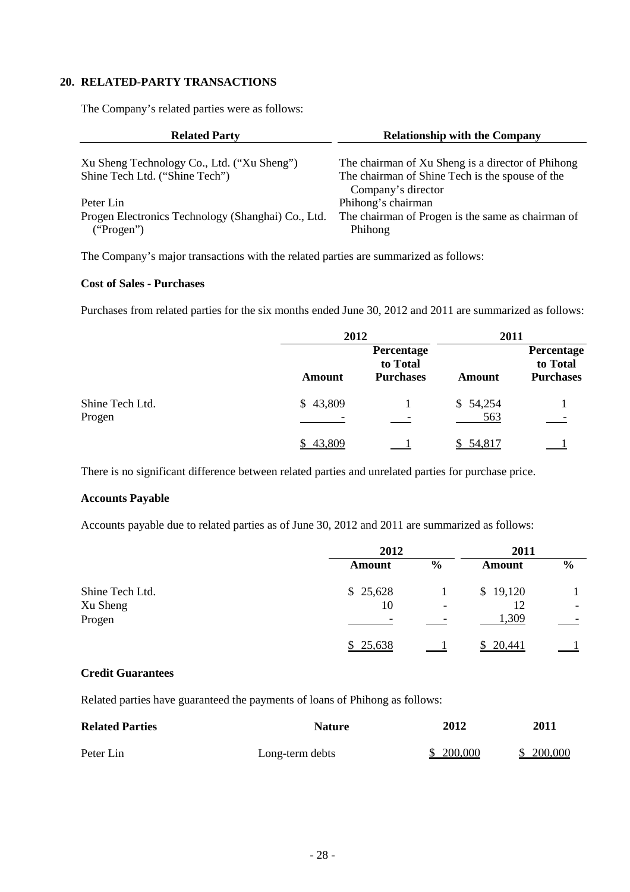# **20. RELATED-PARTY TRANSACTIONS**

The Company's related parties were as follows:

| <b>Related Party</b>                                             | <b>Relationship with the Company</b>                                  |
|------------------------------------------------------------------|-----------------------------------------------------------------------|
| Xu Sheng Technology Co., Ltd. ("Xu Sheng")                       | The chairman of Xu Sheng is a director of Phihong                     |
| Shine Tech Ltd. ("Shine Tech")                                   | The chairman of Shine Tech is the spouse of the<br>Company's director |
| Peter Lin                                                        | Phihong's chairman                                                    |
| Progen Electronics Technology (Shanghai) Co., Ltd.<br>("Progen") | The chairman of Progen is the same as chairman of<br>Phihong          |

The Company's major transactions with the related parties are summarized as follows:

#### **Cost of Sales - Purchases**

Purchases from related parties for the six months ended June 30, 2012 and 2011 are summarized as follows:

|                           |          | 2012                                       |                 | 2011                                       |
|---------------------------|----------|--------------------------------------------|-----------------|--------------------------------------------|
|                           | Amount   | Percentage<br>to Total<br><b>Purchases</b> | Amount          | Percentage<br>to Total<br><b>Purchases</b> |
| Shine Tech Ltd.<br>Progen | \$43,809 |                                            | \$54,254<br>563 |                                            |
|                           | \$43,809 |                                            | \$54,817        |                                            |

There is no significant difference between related parties and unrelated parties for purchase price.

#### **Accounts Payable**

Accounts payable due to related parties as of June 30, 2012 and 2011 are summarized as follows:

|                 | 2012     |               | 2011     |                          |
|-----------------|----------|---------------|----------|--------------------------|
|                 | Amount   | $\frac{6}{9}$ | Amount   | $\frac{6}{9}$            |
| Shine Tech Ltd. | \$25,628 |               | \$19,120 |                          |
| Xu Sheng        | 10       |               |          | $\overline{\phantom{0}}$ |
| Progen          | -        |               | 1,309    |                          |
|                 | \$25,638 |               | 20,441   |                          |

# **Credit Guarantees**

Related parties have guaranteed the payments of loans of Phihong as follows:

| <b>Related Parties</b> | <b>Nature</b>   | 2012      | 2011       |
|------------------------|-----------------|-----------|------------|
| Peter Lin              | Long-term debts | \$200,000 | \$ 200,000 |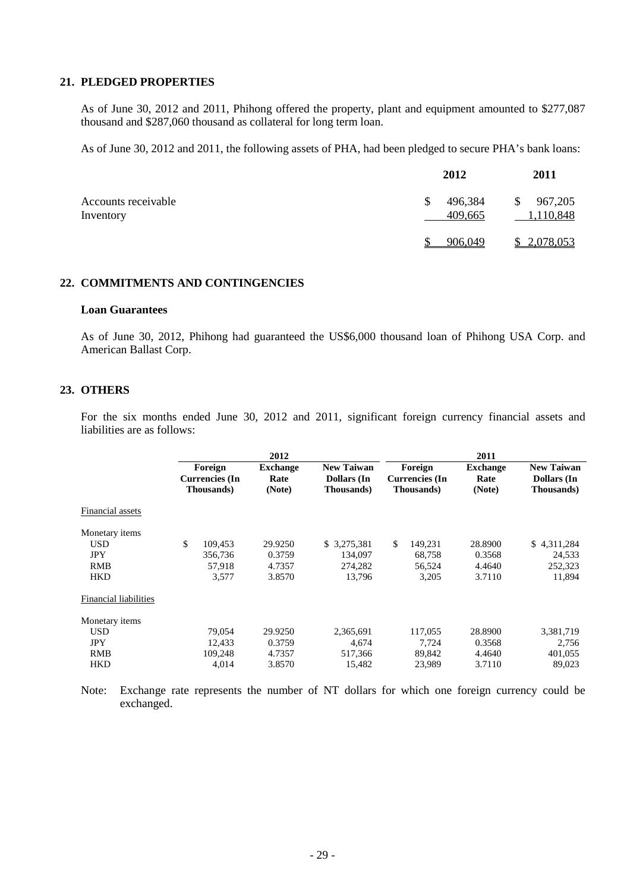# **21. PLEDGED PROPERTIES**

As of June 30, 2012 and 2011, Phihong offered the property, plant and equipment amounted to \$277,087 thousand and \$287,060 thousand as collateral for long term loan.

As of June 30, 2012 and 2011, the following assets of PHA, had been pledged to secure PHA's bank loans:

|                                  | 2012                     | <b>2011</b>                          |
|----------------------------------|--------------------------|--------------------------------------|
| Accounts receivable<br>Inventory | 496,384<br>\$<br>409,665 | 967,205<br>$\mathbb{S}$<br>1,110,848 |
|                                  | 906,049                  | \$2,078,053                          |

#### **22. COMMITMENTS AND CONTINGENCIES**

#### **Loan Guarantees**

As of June 30, 2012, Phihong had guaranteed the US\$6,000 thousand loan of Phihong USA Corp. and American Ballast Corp.

#### **23. OTHERS**

For the six months ended June 30, 2012 and 2011, significant foreign currency financial assets and liabilities are as follows:

|                              |                       | 2012            |                    |     |                       | 2011            |                    |
|------------------------------|-----------------------|-----------------|--------------------|-----|-----------------------|-----------------|--------------------|
|                              | Foreign               | <b>Exchange</b> | <b>New Taiwan</b>  |     | Foreign               | <b>Exchange</b> | <b>New Taiwan</b>  |
|                              | <b>Currencies</b> (In | Rate            | <b>Dollars</b> (In |     | <b>Currencies</b> (In | Rate            | <b>Dollars</b> (In |
|                              | <b>Thousands</b> )    | (Note)          | Thousands)         |     | <b>Thousands</b> )    | (Note)          | <b>Thousands</b> ) |
| Financial assets             |                       |                 |                    |     |                       |                 |                    |
| Monetary items               |                       |                 |                    |     |                       |                 |                    |
| <b>USD</b>                   | \$<br>109,453         | 29.9250         | \$3,275,381        | \$. | 149,231               | 28.8900         | \$4,311,284        |
| <b>JPY</b>                   | 356,736               | 0.3759          | 134,097            |     | 68,758                | 0.3568          | 24,533             |
| RMB                          | 57,918                | 4.7357          | 274,282            |     | 56,524                | 4.4640          | 252,323            |
| <b>HKD</b>                   | 3,577                 | 3.8570          | 13,796             |     | 3,205                 | 3.7110          | 11,894             |
| <b>Financial liabilities</b> |                       |                 |                    |     |                       |                 |                    |
| Monetary items               |                       |                 |                    |     |                       |                 |                    |
| <b>USD</b>                   | 79,054                | 29.9250         | 2,365,691          |     | 117,055               | 28.8900         | 3,381,719          |
| <b>JPY</b>                   | 12.433                | 0.3759          | 4.674              |     | 7,724                 | 0.3568          | 2,756              |
| <b>RMB</b>                   | 109,248               | 4.7357          | 517,366            |     | 89,842                | 4.4640          | 401,055            |
| <b>HKD</b>                   | 4.014                 | 3.8570          | 15,482             |     | 23,989                | 3.7110          | 89.023             |

Note: Exchange rate represents the number of NT dollars for which one foreign currency could be exchanged.